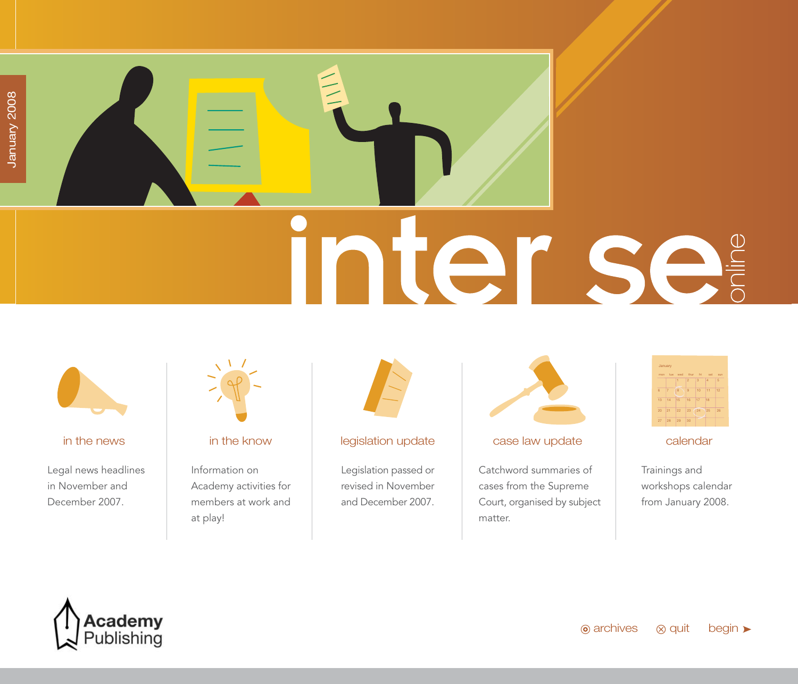# <span id="page-0-0"></span>nter se



Legal news headlines in November and December 2007.



Information on Academy activities for members at work and at play!



### [in the news](#page-1-0) in the know [legislation update](#page-23-0) case law update [calendar](#page-41-0)

Legislation passed or revised in November and December 2007.



Catchword summaries of cases from the Supreme Court, organised by subject matter.



Trainings and workshops calendar from January 2008.

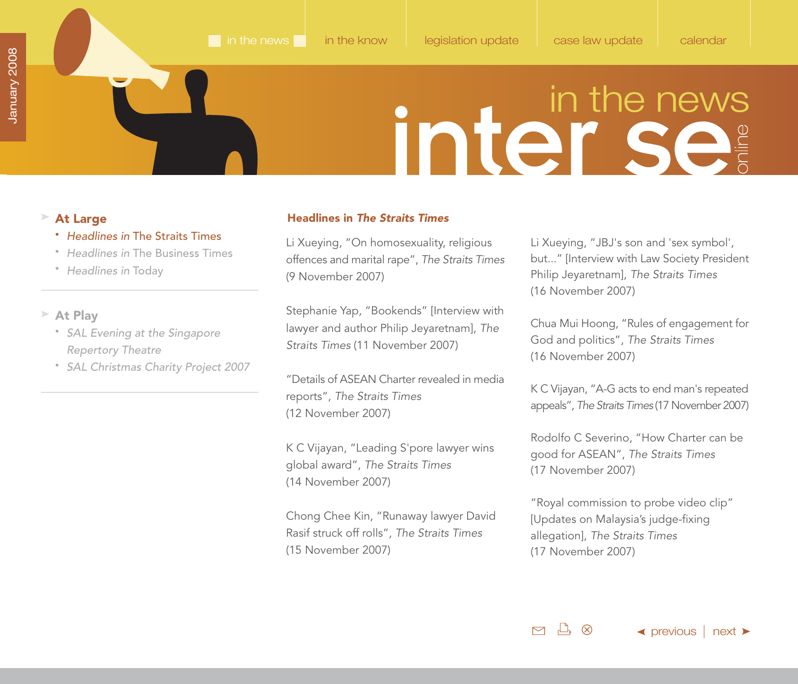- Headlines in The Straits Times
- Headlines in [The Business Times](#page-5-0)
- [Headlines in](#page-6-0) Today

### **At Play**

- [SAL Evening at the Singapore](#page-7-0) Repertory Theatre
- [SAL Christmas Charity Project 2007](#page-9-0)

### <span id="page-1-0"></span>**At Large Headlines in** *The Straits Times*

Li Xueying, "On homosexuality, religious offences and marital rape", The Straits Times (9 November 2007)

Stephanie Yap, "Bookends" [Interview with lawyer and author Philip Jeyaretnam], The Straits Times (11 November 2007)

"Details of ASEAN Charter revealed in media reports", The Straits Times (12 November 2007)

K C Vijayan, "Leading S'pore lawyer wins global award", The Straits Times (14 November 2007)

Chong Chee Kin, "Runaway lawyer David Rasif struck off rolls", The Straits Times (15 November 2007)

Li Xueying, "JBJ's son and 'sex symbol', but..." [Interview with Law Society President Philip Jeyaretnam], The Straits Times (16 November 2007)

Chua Mui Hoong, "Rules of engagement for God and politics", The Straits Times (16 November 2007)

K C Vijayan, "A-G acts to end man's repeated appeals", The Straits Times (17 November 2007)

Rodolfo C Severino, "How Charter can be good for ASEAN", The Straits Times (17 November 2007)

"Royal commission to probe video clip" [Updates on Malaysia's judge-fixing allegation], The Straits Times (17 November 2007)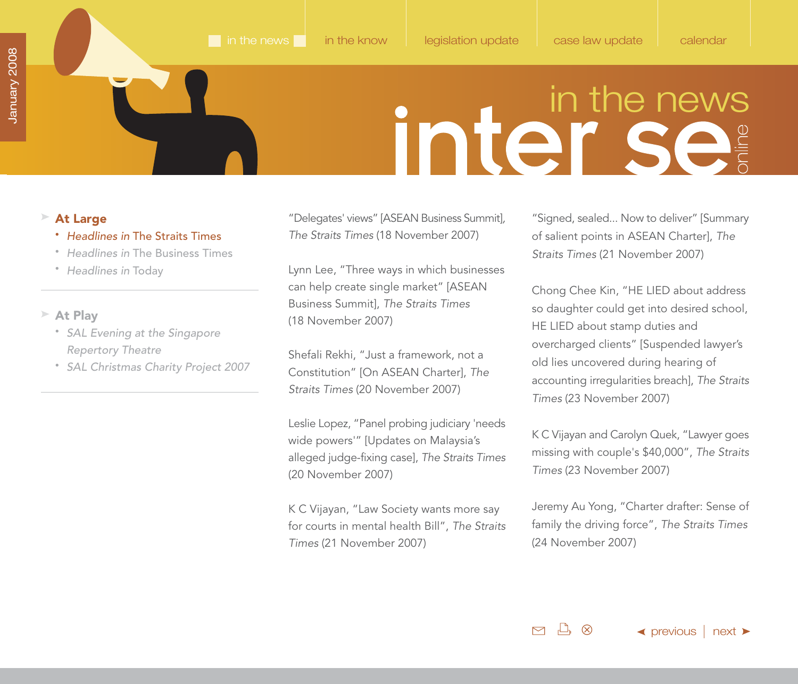### <span id="page-2-0"></span>**At Large**

- Headlines in The Straits Times
- Headlines in [The Business Times](#page-5-0)
- [Headlines in](#page-6-0) Today

### **At Play**

- [SAL Evening at the Singapore](#page-7-0) Repertory Theatre
- [SAL Christmas Charity Project 2007](#page-9-0)

"Delegates' views" [ASEAN Business Summit], The Straits Times (18 November 2007)

Lynn Lee, "Three ways in which businesses can help create single market" [ASEAN Business Summit], The Straits Times (18 November 2007)

Shefali Rekhi, "Just a framework, not a Constitution" [On ASEAN Charter], The Straits Times (20 November 2007)

Leslie Lopez, "Panel probing judiciary 'needs wide powers'" [Updates on Malaysia's alleged judge-fixing case], The Straits Times (20 November 2007)

K C Vijayan, "Law Society wants more say for courts in mental health Bill", The Straits Times (21 November 2007)

"Signed, sealed... Now to deliver" [Summary of salient points in ASEAN Charter], The Straits Times (21 November 2007)

Chong Chee Kin, "HE LIED about address so daughter could get into desired school, HE LIED about stamp duties and overcharged clients" [Suspended lawyer's old lies uncovered during hearing of accounting irregularities breach], The Straits Times (23 November 2007)

K C Vijayan and Carolyn Quek, "Lawyer goes missing with couple's \$40,000", The Straits Times (23 November 2007)

Jeremy Au Yong, "Charter drafter: Sense of family the driving force", The Straits Times (24 November 2007)

 $\Box$ ,  $\otimes$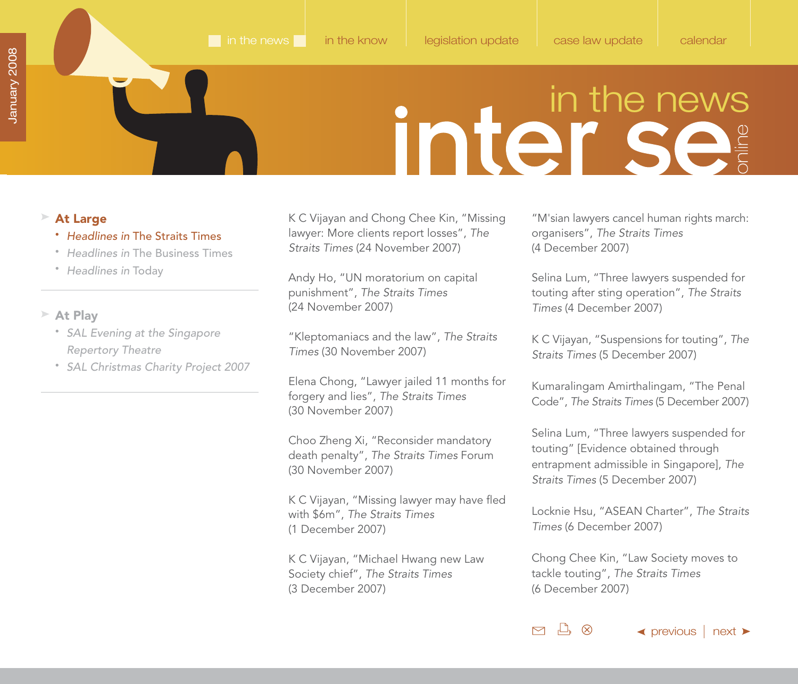### <span id="page-3-0"></span>**At Large**

- Headlines in The Straits Times
- Headlines in [The Business Times](#page-5-0)
- [Headlines in](#page-6-0) Today

### **At Play**

- [SAL Evening at the Singapore](#page-7-0) Repertory Theatre
- [SAL Christmas Charity Project 2007](#page-9-0)

K C Vijayan and Chong Chee Kin, "Missing lawyer: More clients report losses", The Straits Times (24 November 2007)

Andy Ho, "UN moratorium on capital punishment", The Straits Times (24 November 2007)

"Kleptomaniacs and the law", The Straits Times (30 November 2007)

Elena Chong, "Lawyer jailed 11 months for forgery and lies", The Straits Times (30 November 2007)

Choo Zheng Xi, "Reconsider mandatory death penalty", The Straits Times Forum (30 November 2007)

K C Vijayan, "Missing lawyer may have fled with \$6m", The Straits Times (1 December 2007)

K C Vijayan, "Michael Hwang new Law Society chief", The Straits Times (3 December 2007)

"M'sian lawyers cancel human rights march: organisers", The Straits Times (4 December 2007)

Selina Lum, "Three lawyers suspended for touting after sting operation", The Straits Times (4 December 2007)

K C Vijayan, "Suspensions for touting", The Straits Times (5 December 2007)

Kumaralingam Amirthalingam, "The Penal Code", The Straits Times (5 December 2007)

Selina Lum, "Three lawyers suspended for touting" [Evidence obtained through entrapment admissible in Singapore], The Straits Times (5 December 2007)

Locknie Hsu, "ASEAN Charter", The Straits Times (6 December 2007)

Chong Chee Kin, "Law Society moves to tackle touting", The Straits Times (6 December 2007)

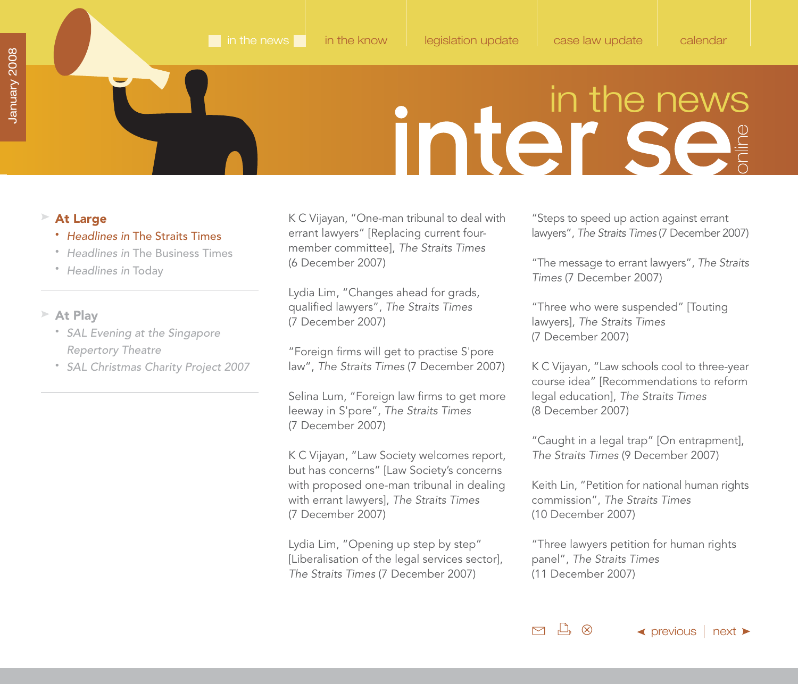### <span id="page-4-0"></span>**At Large**

- Headlines in The Straits Times
- Headlines in [The Business Times](#page-5-0)
- [Headlines in](#page-6-0) Today

### **At Play**

- [SAL Evening at the Singapore](#page-7-0) Repertory Theatre
- [SAL Christmas Charity Project 2007](#page-9-0)

K C Vijayan, "One-man tribunal to deal with errant lawyers" [Replacing current fourmember committee], The Straits Times (6 December 2007)

Lydia Lim, "Changes ahead for grads, qualified lawyers", The Straits Times (7 December 2007)

"Foreign firms will get to practise S'pore law", The Straits Times (7 December 2007)

Selina Lum, "Foreign law firms to get more leeway in S'pore", The Straits Times (7 December 2007)

K C Vijayan, "Law Society welcomes report, but has concerns" [Law Society's concerns with proposed one-man tribunal in dealing with errant lawyers], The Straits Times (7 December 2007)

Lydia Lim, "Opening up step by step" [Liberalisation of the legal services sector], The Straits Times (7 December 2007)

"Steps to speed up action against errant lawyers", The Straits Times (7 December 2007)

"The message to errant lawyers", The Straits Times (7 December 2007)

"Three who were suspended" [Touting lawyers], The Straits Times (7 December 2007)

K C Vijayan, "Law schools cool to three-year course idea" [Recommendations to reform legal education], The Straits Times (8 December 2007)

"Caught in a legal trap" [On entrapment], The Straits Times (9 December 2007)

Keith Lin, "Petition for national human rights commission", The Straits Times (10 December 2007)

"Three lawyers petition for human rights panel", The Straits Times (11 December 2007)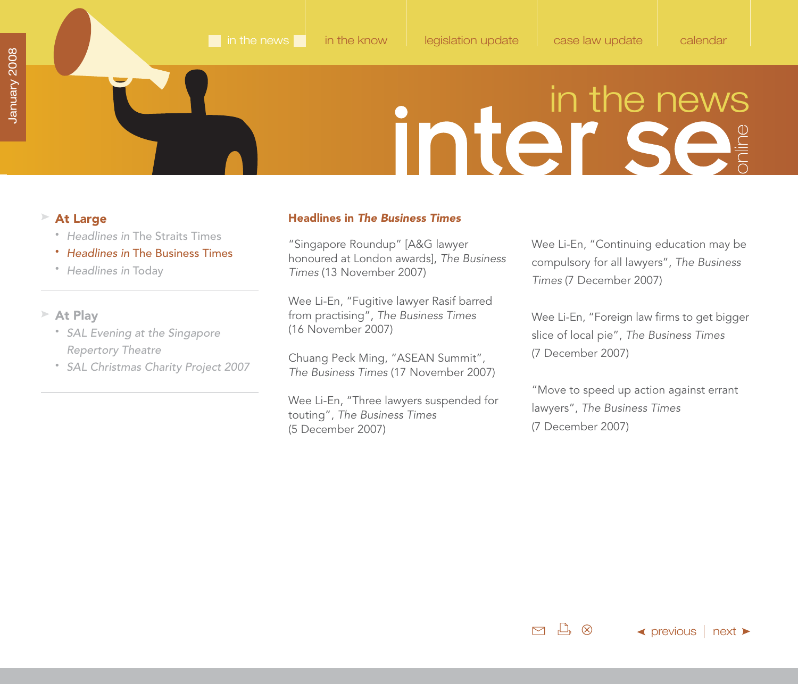- Headlines in [The Straits Times](#page-1-0)
- Headlines in The Business Times
- [Headlines in](#page-6-0) Today

### **At Play**

- [SAL Evening at the Singapore](#page-7-0) Repertory Theatre
- [SAL Christmas Charity Project 2007](#page-9-0)

### <span id="page-5-0"></span>**At Large Headlines in The Business Times**

"Singapore Roundup" [A&G lawyer honoured at London awards], The Business Times (13 November 2007)

Wee Li-En, "Fugitive lawyer Rasif barred from practising", The Business Times (16 November 2007)

Chuang Peck Ming, "ASEAN Summit", The Business Times (17 November 2007)

Wee Li-En, "Three lawyers suspended for touting", The Business Times (5 December 2007)

Wee Li-En, "Continuing education may be compulsory for all lawyers", The Business Times (7 December 2007)

Wee Li-En, "Foreign law firms to get bigger slice of local pie", The Business Times (7 December 2007)

"Move to speed up action against errant lawyers", The Business Times (7 December 2007)

 $M \rightarrow \infty$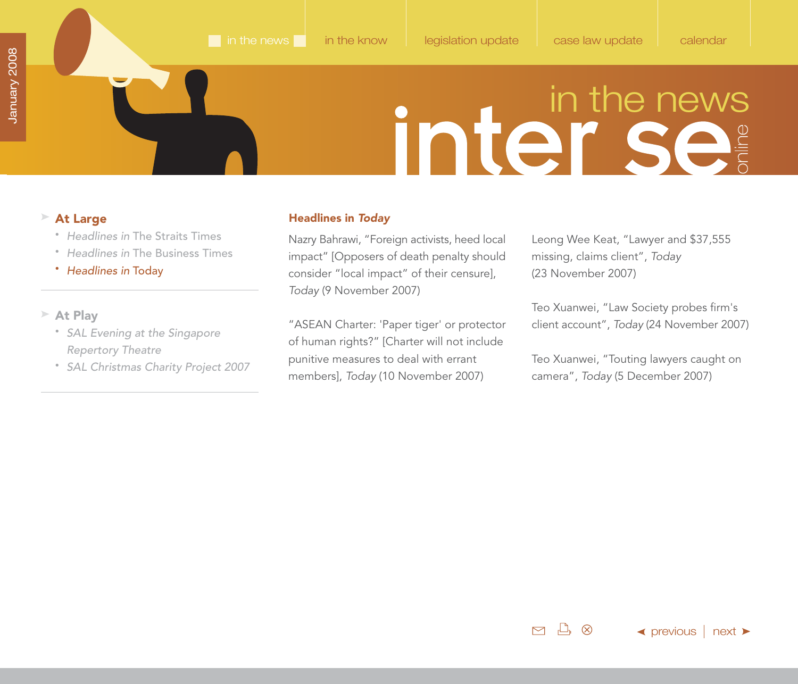- Headlines in [The Straits Times](#page-1-0)
- Headlines in [The Business Times](#page-5-0)

### • Headlines in Today

### **At Play**

- [SAL Evening at the Singapore](#page-7-0) Repertory Theatre
- [SAL Christmas Charity Project 2007](#page-9-0)

### <span id="page-6-0"></span>**At Large Headlines in** *Today*

Nazry Bahrawi, "Foreign activists, heed local impact" [Opposers of death penalty should consider "local impact" of their censure], Today (9 November 2007)

"ASEAN Charter: 'Paper tiger' or protector of human rights?" [Charter will not include punitive measures to deal with errant members], Today (10 November 2007)

Leong Wee Keat, "Lawyer and \$37,555 missing, claims client", Today (23 November 2007)

Teo Xuanwei, "Law Society probes firm's client account", Today (24 November 2007)

Teo Xuanwei, "Touting lawyers caught on camera", Today (5 December 2007)

 $M \rightarrow \infty$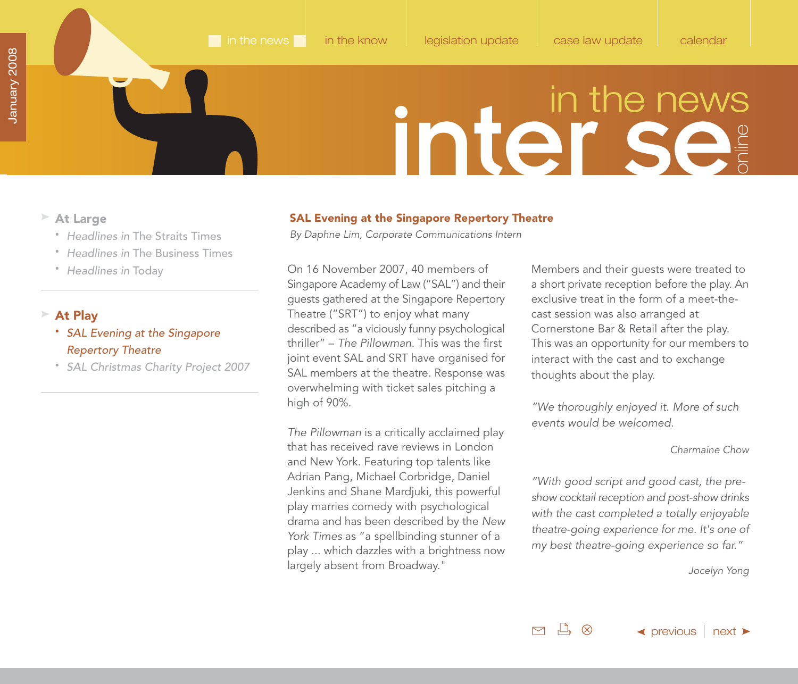- <span id="page-7-0"></span>**At Large**
	- Headlines in [The Straits Times](#page-1-0)
	- Headlines in [The Business Times](#page-5-0)
	- [Headlines in](#page-6-0) Today

### **At Play**

- SAL Evening at the Singapore Repertory Theatre
- [SAL Christmas Charity Project 2007](#page-9-0)

### **SAL Evening at the Singapore Repertory Theatre**

By Daphne Lim, Corporate Communications Intern

On 16 November 2007, 40 members of Singapore Academy of Law ("SAL") and their guests gathered at the Singapore Repertory Theatre ("SRT") to enjoy what many described as "a viciously funny psychological thriller" – The Pillowman. This was the first joint event SAL and SRT have organised for SAL members at the theatre. Response was overwhelming with ticket sales pitching a high of 90%.

The Pillowman is a critically acclaimed play that has received rave reviews in London and New York. Featuring top talents like Adrian Pang, Michael Corbridge, Daniel Jenkins and Shane Mardjuki, this powerful play marries comedy with psychological drama and has been described by the New York Times as "a spellbinding stunner of a play ... which dazzles with a brightness now largely absent from Broadway."

Members and their guests were treated to a short private reception before the play. An exclusive treat in the form of a meet-thecast session was also arranged at Cornerstone Bar & Retail after the play. This was an opportunity for our members to interact with the cast and to exchange thoughts about the play.

"We thoroughly enjoyed it. More of such events would be welcomed.

### Charmaine Chow

"With good script and good cast, the preshow cocktail reception and post-show drinks with the cast completed a totally enjoyable theatre-going experience for me. It's one of my best theatre-going experience so far."

Jocelyn Yong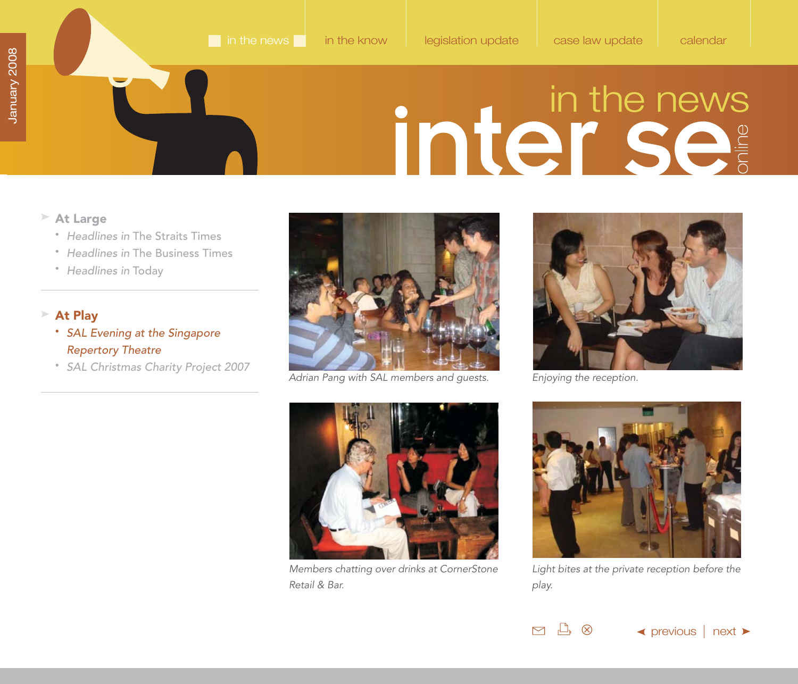- <span id="page-8-0"></span>**At Large**
	- Headlines in [The Straits Times](#page-1-0)
	- Headlines in [The Business Times](#page-5-0)
	- [Headlines in](#page-6-0) Today

### **At Play**

- SAL Evening at the Singapore Repertory Theatre
- [SAL Christmas Charity Project 2007](#page-9-0)



Adrian Pang with SAL members and guests.



Enjoying the reception.

 $M \rightarrow \infty$ 



Members chatting over drinks at CornerStone Retail & Bar.



Light bites at the private reception before the play.

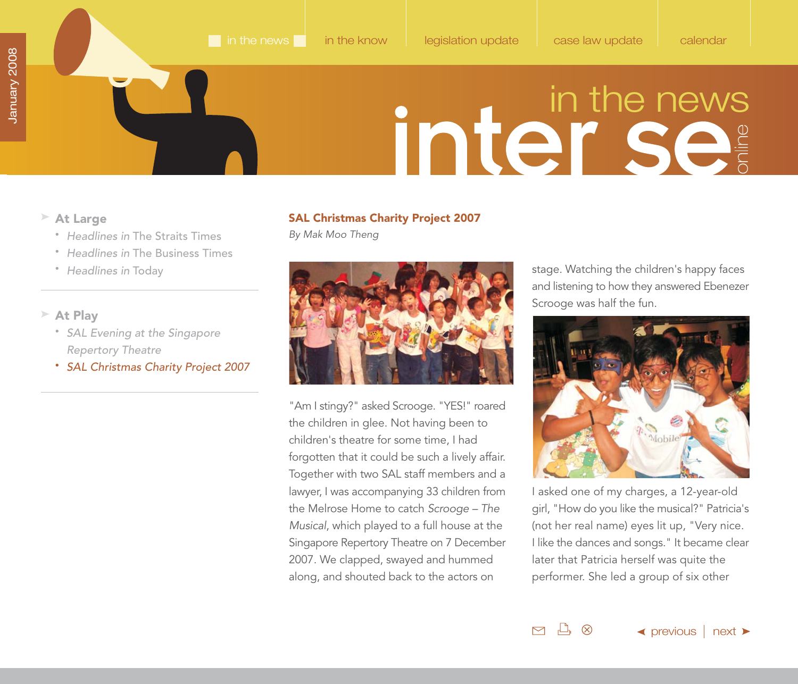- <span id="page-9-0"></span>**At Large**
	- Headlines in [The Straits Times](#page-1-0)
	- Headlines in [The Business Times](#page-5-0)
	- [Headlines in](#page-6-0) Today
- **At Play**
	- [SAL Evening at the Singapore](#page-7-0) Repertory Theatre
	- SAL Christmas Charity Project 2007

### **SAL Christmas Charity Project 2007**

By Mak Moo Theng



"Am I stingy?" asked Scrooge. "YES!" roared the children in glee. Not having been to children's theatre for some time, I had forgotten that it could be such a lively affair. Together with two SAL staff members and a lawyer, I was accompanying 33 children from the Melrose Home to catch Scrooge – The Musical, which played to a full house at the Singapore Repertory Theatre on 7 December 2007. We clapped, swayed and hummed along, and shouted back to the actors on

stage. Watching the children's happy faces and listening to how they answered Ebenezer Scrooge was half the fun.



I asked one of my charges, a 12-year-old girl, "How do you like the musical?" Patricia's (not her real name) eyes lit up, "Very nice. I like the dances and songs." It became clear later that Patricia herself was quite the performer. She led a group of six other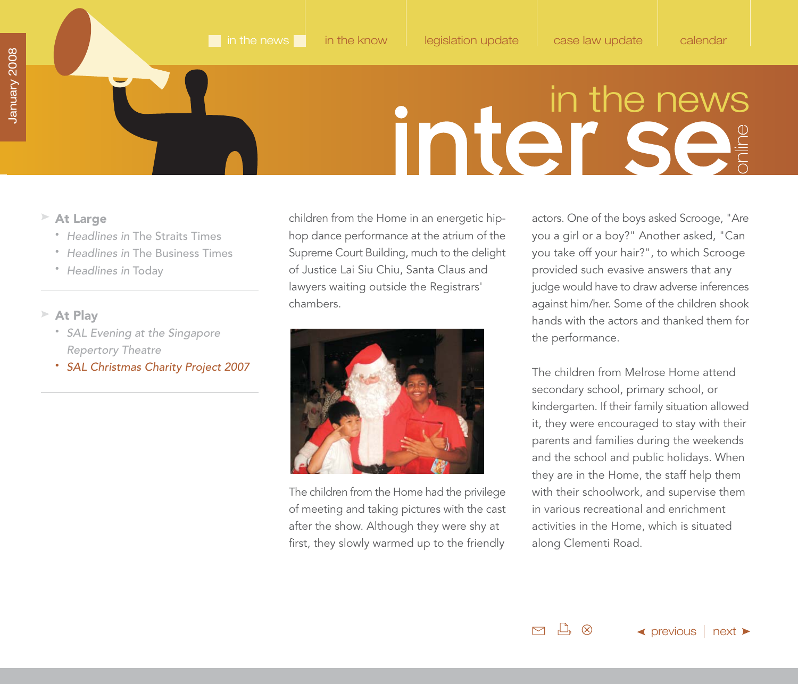- <span id="page-10-0"></span>**At Large**
	- Headlines in [The Straits Times](#page-1-0)
	- Headlines in [The Business Times](#page-5-0)
	- [Headlines in](#page-6-0) Today
- **At Play**
	- [SAL Evening at the Singapore](#page-7-0) Repertory Theatre
	- SAL Christmas Charity Project 2007

children from the Home in an energetic hiphop dance performance at the atrium of the Supreme Court Building, much to the delight of Justice Lai Siu Chiu, Santa Claus and lawyers waiting outside the Registrars' chambers.



The children from the Home had the privilege of meeting and taking pictures with the cast after the show. Although they were shy at first, they slowly warmed up to the friendly

actors. One of the boys asked Scrooge, "Are you a girl or a boy?" Another asked, "Can you take off your hair?", to which Scrooge provided such evasive answers that any judge would have to draw adverse inferences against him/her. Some of the children shook hands with the actors and thanked them for the performance.

The children from Melrose Home attend secondary school, primary school, or kindergarten. If their family situation allowed it, they were encouraged to stay with their parents and families during the weekends and the school and public holidays. When they are in the Home, the staff help them with their schoolwork, and supervise them in various recreational and enrichment activities in the Home, which is situated along Clementi Road.

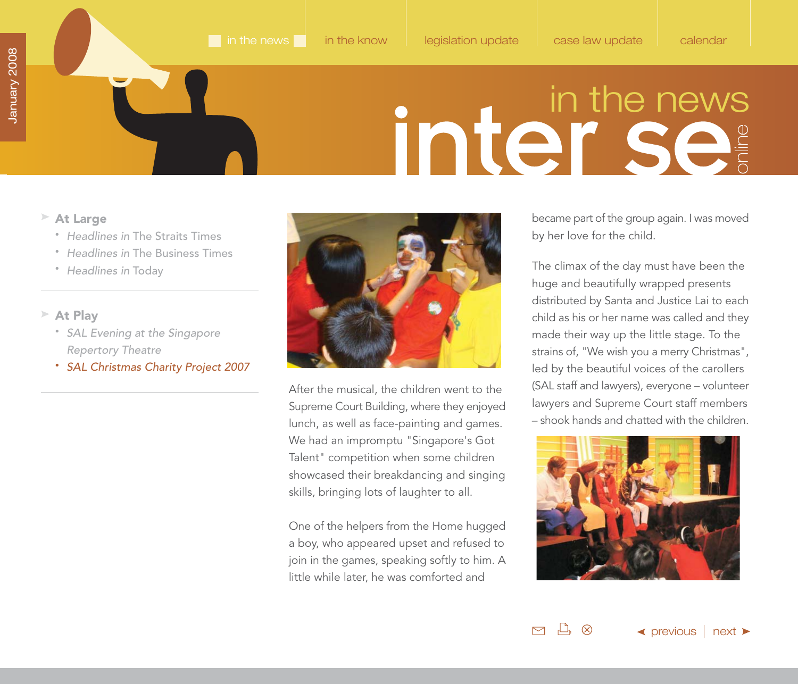- <span id="page-11-0"></span>**At Large**
	- Headlines in [The Straits Times](#page-1-0)
	- Headlines in [The Business Times](#page-5-0)
	- [Headlines in](#page-6-0) Today
- **At Play**
	- [SAL Evening at the Singapore](#page-7-0) Repertory Theatre
	- SAL Christmas Charity Project 2007



After the musical, the children went to the Supreme Court Building, where they enjoyed lunch, as well as face-painting and games. We had an impromptu "Singapore's Got Talent" competition when some children showcased their breakdancing and singing skills, bringing lots of laughter to all.

One of the helpers from the Home hugged a boy, who appeared upset and refused to join in the games, speaking softly to him. A little while later, he was comforted and

became part of the group again. I was moved by her love for the child.

The climax of the day must have been the huge and beautifully wrapped presents distributed by Santa and Justice Lai to each child as his or her name was called and they made their way up the little stage. To the strains of, "We wish you a merry Christmas", led by the beautiful voices of the carollers (SAL staff and lawyers), everyone – volunteer lawyers and Supreme Court staff members – shook hands and chatted with the children.



 $\mathbb{L}$   $\otimes$  $\blacktriangle$  [previous](#page-10-0)  $\mid$  [next](#page-12-0)  $\blacktriangleright$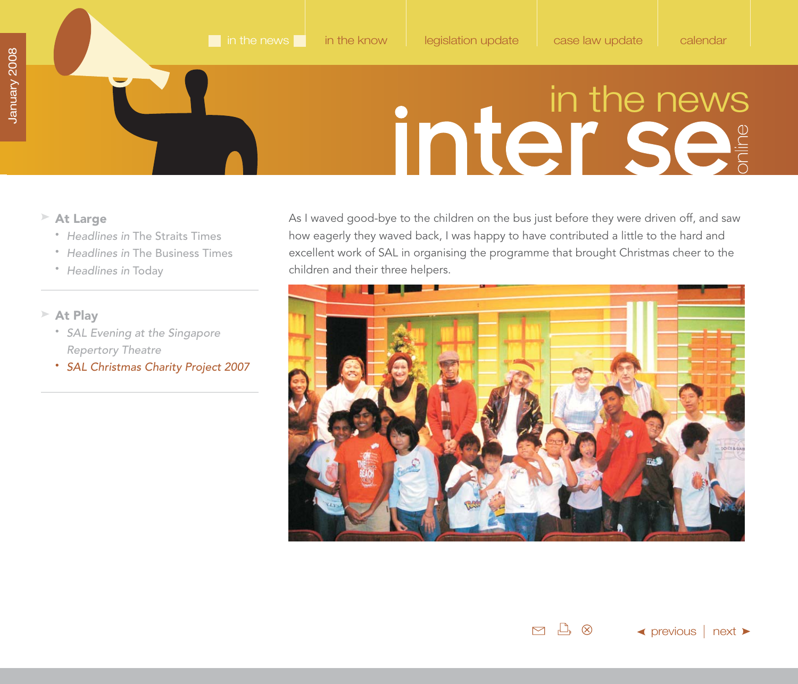- <span id="page-12-0"></span>**At Large**
	- Headlines in [The Straits Times](#page-1-0)
	- Headlines in [The Business Times](#page-5-0)
	- [Headlines in](#page-6-0) Today
- **At Play**
	- [SAL Evening at the Singapore](#page-7-0) Repertory Theatre
	- SAL Christmas Charity Project 2007

As I waved good-bye to the children on the bus just before they were driven off, and saw how eagerly they waved back, I was happy to have contributed a little to the hard and excellent work of SAL in organising the programme that brought Christmas cheer to the children and their three helpers.

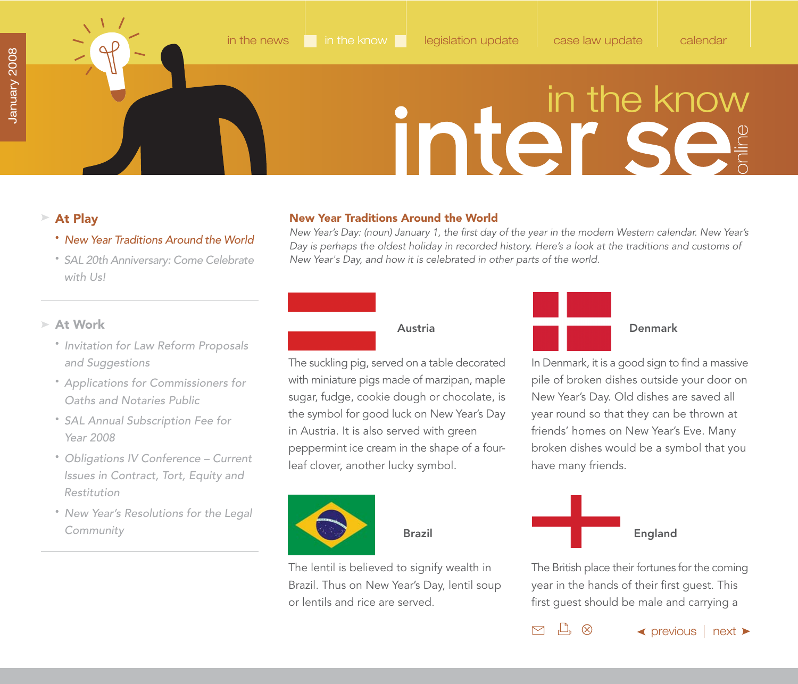### <span id="page-13-0"></span>**At Play**

- New Year Traditions Around the World
- • [SAL 20th Anniversary: Come Celebrate](#page-16-0) with Us!

### **New Year Traditions Around the World**

New Year's Day: (noun) January 1, the first day of the year in the modern Western calendar. New Year's Day is perhaps the oldest holiday in recorded history. Here's a look at the traditions and customs of New Year's Day, and how it is celebrated in other parts of the world.

### **At Work**

- [Invitation for Law Reform Proposals](#page-17-0)  and Suggestions
- [Applications for Commissioners for](#page-18-0)  Oaths and Notaries Public
- [SAL Annual Subscription Fee for](#page-19-0) Year 2008
- [Obligations IV Conference Current](#page-20-0) Issues in Contract, Tort, Equity and Restitution
- [New Year's Resolutions for the Legal](#page-22-0) Community

### **Austria**

The suckling pig, served on a table decorated with miniature pigs made of marzipan, maple sugar, fudge, cookie dough or chocolate, is the symbol for good luck on New Year's Day in Austria. It is also served with green peppermint ice cream in the shape of a fourleaf clover, another lucky symbol.



 **Brazil**

The lentil is believed to signify wealth in Brazil. Thus on New Year's Day, lentil soup or lentils and rice are served.



### **Denmark**

In Denmark, it is a good sign to find a massive pile of broken dishes outside your door on New Year's Day. Old dishes are saved all year round so that they can be thrown at friends' homes on New Year's Eve. Many broken dishes would be a symbol that you have many friends.



 $\Box$   $\otimes$ 

 $\triangleright$ 

The British place their fortunes for the coming year in the hands of their first guest. This first guest should be male and carrying a

 $\blacktriangle$  [previous](#page-12-0)  $\mid$  [next](#page-14-0)  $\blacktriangleright$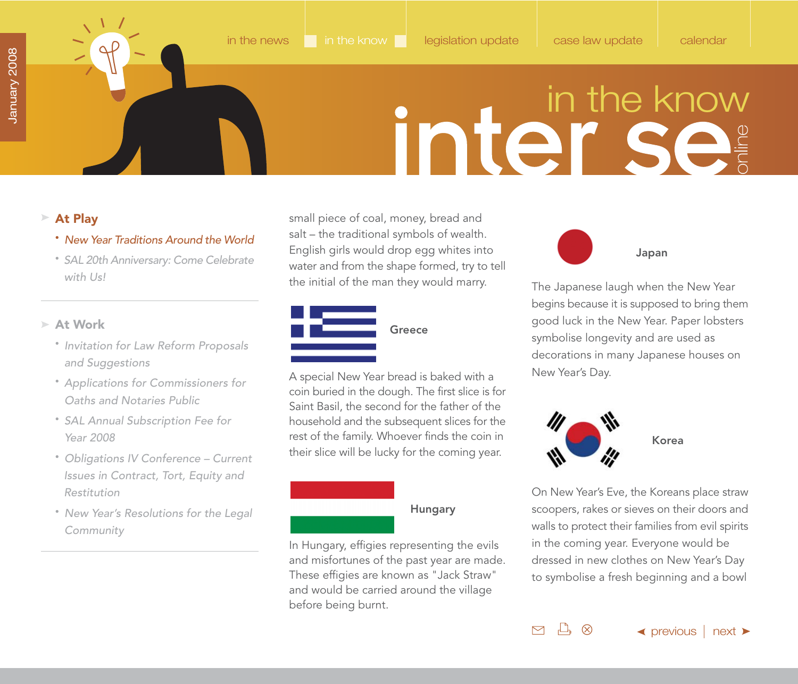### <span id="page-14-0"></span>**At Play**

- New Year Traditions Around the World
- • [SAL 20th Anniversary: Come Celebrate](#page-16-0) with Us!

### **At Work**

- [Invitation for Law Reform Proposals](#page-17-0)  and Suggestions
- [Applications for Commissioners for](#page-18-0)  Oaths and Notaries Public
- [SAL Annual Subscription Fee for](#page-19-0) Year 2008
- [Obligations IV Conference Current](#page-20-0) Issues in Contract, Tort, Equity and Restitution
- [New Year's Resolutions for the Legal](#page-22-0) Community

small piece of coal, money, bread and salt – the traditional symbols of wealth. English girls would drop egg whites into water and from the shape formed, try to tell the initial of the man they would marry.



A special New Year bread is baked with a coin buried in the dough. The first slice is for Saint Basil, the second for the father of the household and the subsequent slices for the rest of the family. Whoever finds the coin in their slice will be lucky for the coming year.

### **Hungary**

In Hungary, effigies representing the evils and misfortunes of the past year are made. These effigies are known as "Jack Straw" and would be carried around the village before being burnt.

**Japan**

The Japanese laugh when the New Year begins because it is supposed to bring them good luck in the New Year. Paper lobsters symbolise longevity and are used as decorations in many Japanese houses on New Year's Day.



 $\Box$   $\otimes$ 

 $\triangleright$ 

On New Year's Eve, the Koreans place straw scoopers, rakes or sieves on their doors and walls to protect their families from evil spirits in the coming year. Everyone would be dressed in new clothes on New Year's Day to symbolise a fresh beginning and a bowl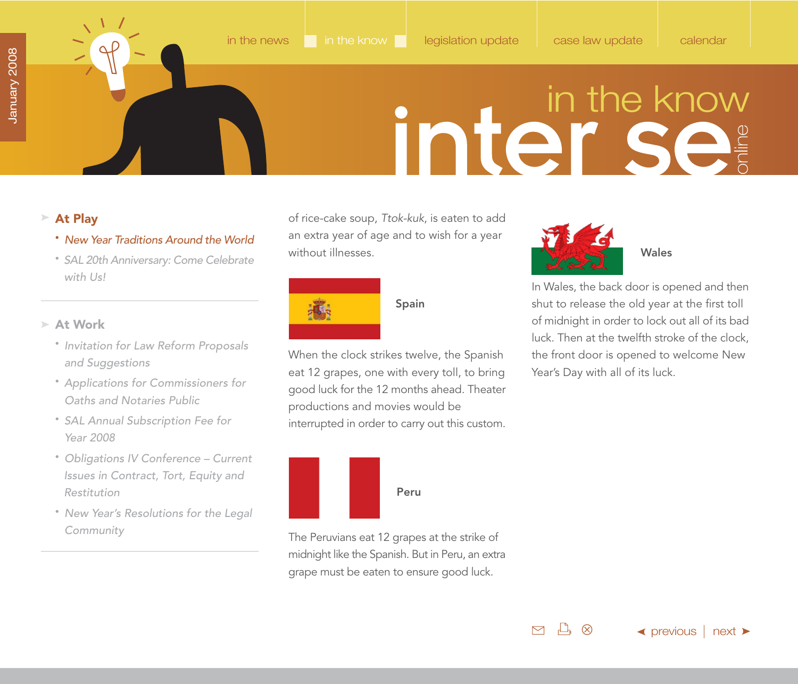### <span id="page-15-0"></span>**At Play**

- New Year Traditions Around the World
- • [SAL 20th Anniversary: Come Celebrate](#page-16-0) with Us!
- **At Work**
	- [Invitation for Law Reform Proposals](#page-17-0)  and Suggestions
	- [Applications for Commissioners for](#page-18-0)  Oaths and Notaries Public
	- [SAL Annual Subscription Fee for](#page-19-0) Year 2008
	- [Obligations IV Conference Current](#page-20-0) Issues in Contract, Tort, Equity and Restitution
	- [New Year's Resolutions for the Legal](#page-22-0) Community

of rice-cake soup, Ttok-kuk, is eaten to add an extra year of age and to wish for a year without illnesses.



### **Spain**

When the clock strikes twelve, the Spanish eat 12 grapes, one with every toll, to bring good luck for the 12 months ahead. Theater productions and movies would be interrupted in order to carry out this custom.



The Peruvians eat 12 grapes at the strike of midnight like the Spanish. But in Peru, an extra grape must be eaten to ensure good luck.



In Wales, the back door is opened and then shut to release the old year at the first toll of midnight in order to lock out all of its bad luck. Then at the twelfth stroke of the clock, the front door is opened to welcome New Year's Day with all of its luck.

 $L$ ,  $\otimes$  $\triangleright$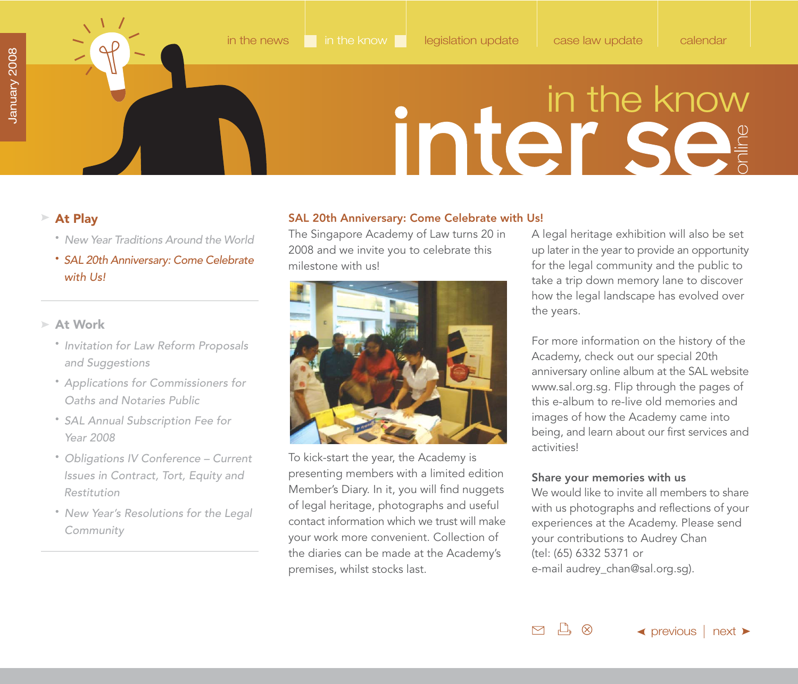- • [New Year Traditions Around the World](#page-13-0)
- SAL 20th Anniversary: Come Celebrate with Us!

### **At Work**

- [Invitation for Law Reform Proposals](#page-17-0)  and Suggestions
- [Applications for Commissioners for](#page-18-0)  Oaths and Notaries Public
- [SAL Annual Subscription Fee for](#page-19-0) Year 2008
- [Obligations IV Conference Current](#page-20-0) Issues in Contract, Tort, Equity and Restitution
- [New Year's Resolutions for the Legal](#page-22-0) Community

### <span id="page-16-0"></span>**At Play SAL 20th Anniversary: Come Celebrate with Us!**

The Singapore Academy of Law turns 20 in 2008 and we invite you to celebrate this milestone with us!



To kick-start the year, the Academy is presenting members with a limited edition Member's Diary. In it, you will find nuggets of legal heritage, photographs and useful contact information which we trust will make your work more convenient. Collection of the diaries can be made at the Academy's premises, whilst stocks last.

A legal heritage exhibition will also be set up later in the year to provide an opportunity for the legal community and the public to take a trip down memory lane to discover how the legal landscape has evolved over the years.

For more information on the history of the Academy, check out our special 20th anniversary online album at the SAL website [www.sal.org.sg. F](http://www.sal.org.sg)lip through the pages of this e-album to re-live old memories and images of how the Academy came into being, and learn about our first services and activities!

### **Share your memories with us**

We would like to invite all members to share with us photographs and reflections of your experiences at the Academy. Please send your contributions to Audrey Chan (tel: (65) 6332 5371 or e-mai[l audrey\\_chan@sal.org.sg\).](mailto:audrey_chan@sal.org.sg)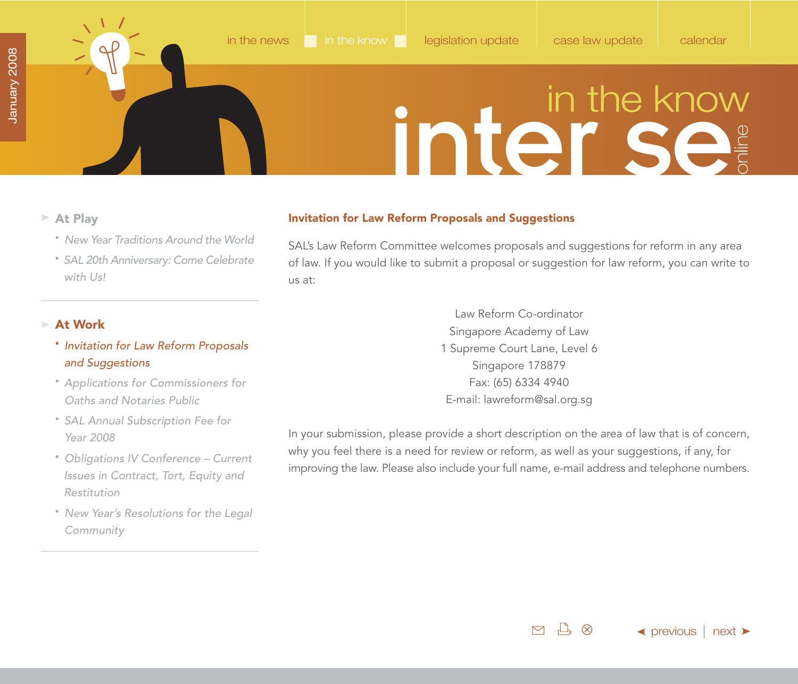- <span id="page-17-0"></span>**At Play Invitation for Law Reform Proposals and Suggestions**
	- • [New Year Traditions Around the World](#page-13-0)
	- • [SAL 20th Anniversary: Come Celebrate](#page-16-0) with Us!

### **At Work**

- Invitation for Law Reform Proposals and Suggestions
- [Applications for Commissioners for](#page-18-0)  Oaths and Notaries Public
- [SAL Annual Subscription Fee for](#page-19-0) Year 2008
- [Obligations IV Conference Current](#page-20-0) Issues in Contract, Tort, Equity and Restitution
- [New Year's Resolutions for the Legal](#page-22-0) Community

SAL's Law Reform Committee welcomes proposals and suggestions for reform in any area of law. If you would like to submit a proposal or suggestion for law reform, you can write to us at:

> Law Reform Co-ordinator Singapore Academy of Law 1 Supreme Court Lane, Level 6 Singapore 178879 Fax: (65) 6334 4940 E-mail[: lawreform@sal.org.sg](mailto:lawreform@sal.org.sg)

In your submission, please provide a short description on the area of law that is of concern, why you feel there is a need for review or reform, as well as your suggestions, if any, for improving the law. Please also include your full name, e-mail address and telephone numbers.

> <u> ሥ</u>  $\triangleright$ (X)

 $\blacktriangle$  [previous](#page-16-0) | [next](#page-18-0)  $\blacktriangleright$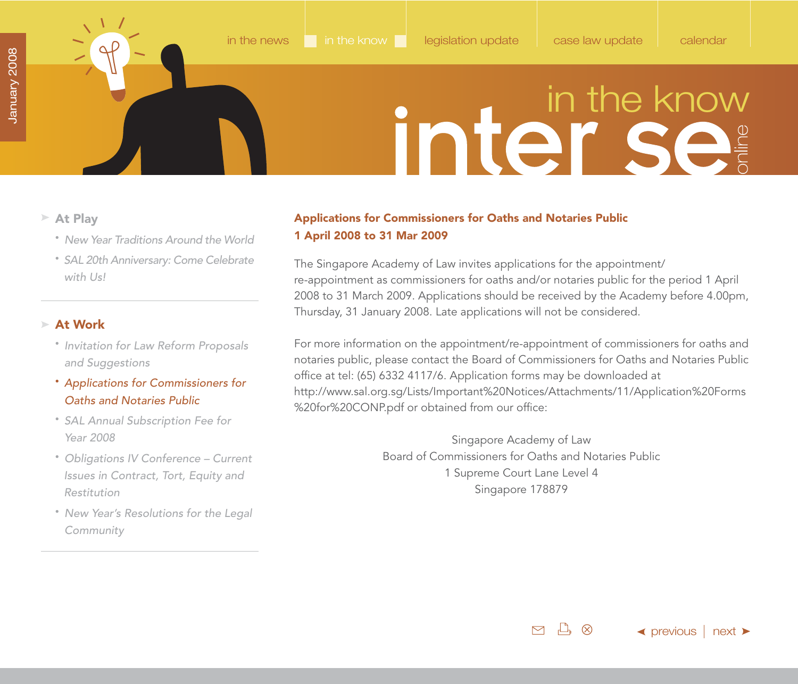- <span id="page-18-0"></span>**At Play**
	- • [New Year Traditions Around the World](#page-13-0)
	- • [SAL 20th Anniversary: Come Celebrate](#page-16-0) with Us!

### **At Work**

- [Invitation for Law Reform Proposals](#page-17-0)  and Suggestions
- Applications for Commissioners for Oaths and Notaries Public
- [SAL Annual Subscription Fee for](#page-19-0) Year 2008
- [Obligations IV Conference Current](#page-20-0) Issues in Contract, Tort, Equity and Restitution
- [New Year's Resolutions for the Legal](#page-22-0) Community

### **Applications for Commissioners for Oaths and Notaries Public 1 April 2008 to 31 Mar 2009**

The Singapore Academy of Law invites applications for the appointment/ re-appointment as commissioners for oaths and/or notaries public for the period 1 April 2008 to 31 March 2009. Applications should be received by the Academy before 4.00pm, Thursday, 31 January 2008. Late applications will not be considered.

For more information on the appointment/re-appointment of commissioners for oaths and notaries public, please contact the Board of Commissioners for Oaths and Notaries Public office at tel: (65) 6332 4117/6. Application forms may be downloaded at [http://www.sal.org.sg/Lists/Important%20Notices/Attachments/11/Application%20Forms](http://www.sal.org.sg/Lists/Important%20Notices/Attachments/11/Application%20Forms%20for%20CONP.pdf) %20for%20CONP.pdf or obtained from our office:

> Singapore Academy of Law Board of Commissioners for Oaths and Notaries Public 1 Supreme Court Lane Level 4 Singapore 178879

> > $\mathbb{D}$   $\otimes$  $\triangleright$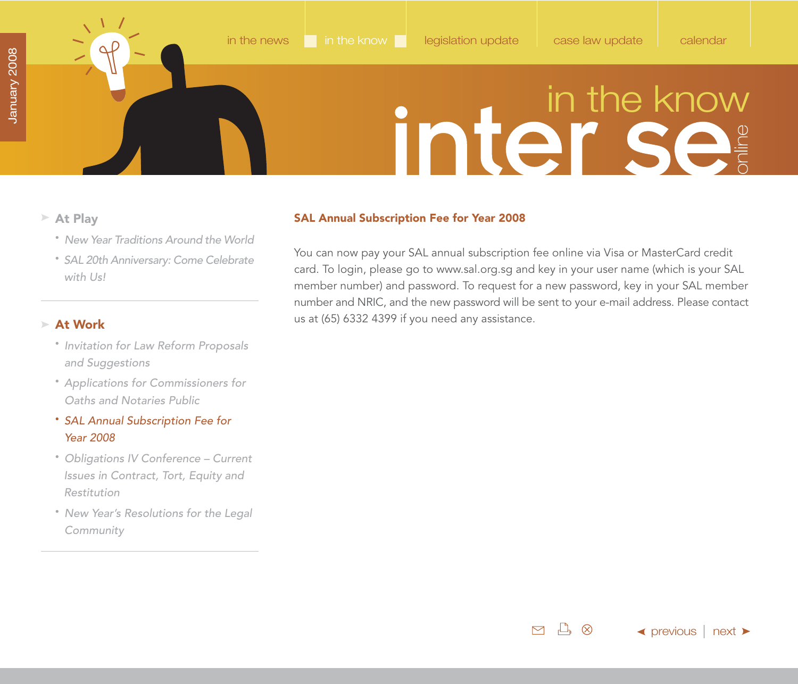$\leftrightarrow$  [previous](#page-18-0)  $\mid$  [next](#page-20-0)  $\rightarrow$ 

### in the know

 $\mathbb{L}$   $\otimes$ 

 $\triangleright$ 

- - • [New Year Traditions Around the World](#page-13-0)
	- • [SAL 20th Anniversary: Come Celebrate](#page-16-0) with Us!

### **At Work**

- [Invitation for Law Reform Proposals](#page-17-0)  and Suggestions
- [Applications for Commissioners for](#page-18-0)  Oaths and Notaries Public
- SAL Annual Subscription Fee for Year 2008
- [Obligations IV Conference Current](#page-20-0) Issues in Contract, Tort, Equity and Restitution
- [New Year's Resolutions for the Legal](#page-22-0) Community

### <span id="page-19-0"></span>**At Play SAL Annual Subscription Fee for Year 2008**

You can now pay your SAL annual subscription fee online via Visa or MasterCard credit card. To login, please go to [www.sal.org.sg a](http://www.sal.org.sg)nd key in your user name (which is your SAL member number) and password. To request for a new password, key in your SAL member number and NRIC, and the new password will be sent to your e-mail address. Please contact us at (65) 6332 4399 if you need any assistance.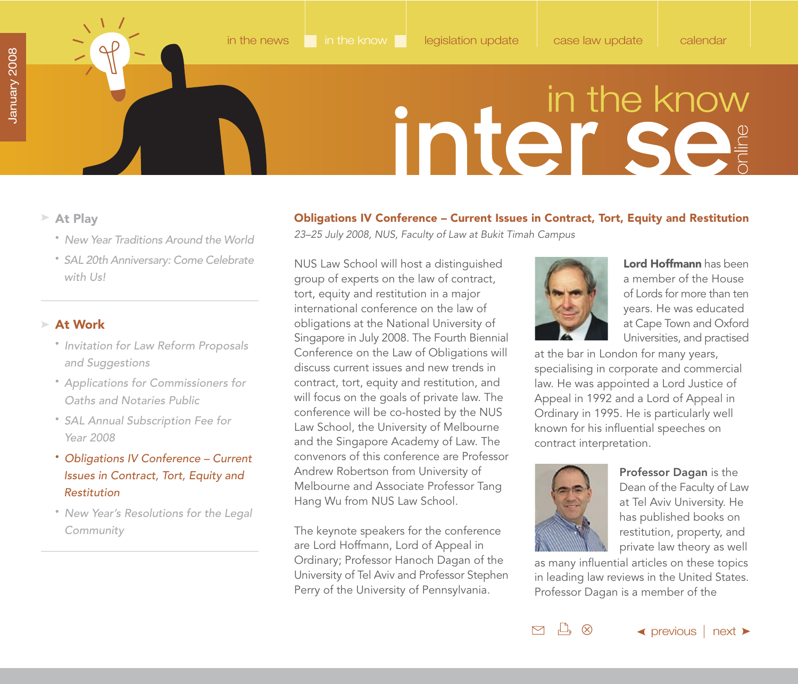<span id="page-20-0"></span>

- **At Play**
	- • [New Year Traditions Around the World](#page-13-0)
	- • [SAL 20th Anniversary: Come Celebrate](#page-16-0) with Us!

### **At Work**

- [Invitation for Law Reform Proposals](#page-17-0)  and Suggestions
- [Applications for Commissioners for](#page-18-0)  Oaths and Notaries Public
- [SAL Annual Subscription Fee for](#page-19-0) Year 2008
- Obligations IV Conference Current Issues in Contract, Tort, Equity and Restitution
- [New Year's Resolutions for the Legal](#page-22-0) Community

### **Obligations IV Conference – Current Issues in Contract, Tort, Equity and Restitution** 23–25 July 2008, NUS, Faculty of Law at Bukit Timah Campus

NUS Law School will host a distinguished group of experts on the law of contract, tort, equity and restitution in a major international conference on the law of obligations at the National University of Singapore in July 2008. The Fourth Biennial Conference on the Law of Obligations will discuss current issues and new trends in contract, tort, equity and restitution, and will focus on the goals of private law. The conference will be co-hosted by the NUS Law School, the University of Melbourne and the Singapore Academy of Law. The convenors of this conference are Professor Andrew Robertson from University of Melbourne and Associate Professor Tang Hang Wu from NUS Law School.

The keynote speakers for the conference are Lord Hoffmann, Lord of Appeal in Ordinary; Professor Hanoch Dagan of the University of Tel Aviv and Professor Stephen Perry of the University of Pennsylvania.



**Lord Hoffmann** has been a member of the House of Lords for more than ten years. He was educated at Cape Town and Oxford Universities, and practised

at the bar in London for many years, specialising in corporate and commercial law. He was appointed a Lord Justice of Appeal in 1992 and a Lord of Appeal in Ordinary in 1995. He is particularly well known for his influential speeches on contract interpretation.



 $L_1 \otimes$ 

M

**Professor Dagan** is the Dean of the Faculty of Law at Tel Aviv University. He has published books on restitution, property, and private law theory as well

as many influential articles on these topics in leading law reviews in the United States. Professor Dagan is a member of the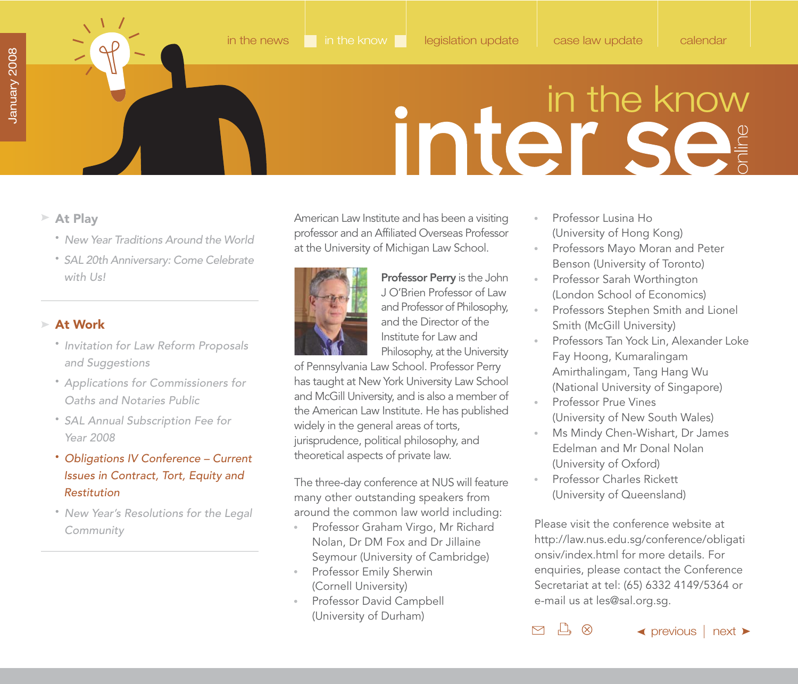<span id="page-21-0"></span>

- **At Play**
	- • [New Year Traditions Around the World](#page-13-0)
	- • [SAL 20th Anniversary: Come Celebrate](#page-16-0) with Us!

### **At Work**

- [Invitation for Law Reform Proposals](#page-17-0)  and Suggestions
- [Applications for Commissioners for](#page-18-0)  Oaths and Notaries Public
- [SAL Annual Subscription Fee for](#page-19-0) Year 2008
- Obligations IV Conference Current Issues in Contract, Tort, Equity and Restitution
- [New Year's Resolutions for the Legal](#page-22-0) Community

American Law Institute and has been a visiting professor and an Affiliated Overseas Professor at the University of Michigan Law School.



**Professor Perry** is the John J O'Brien Professor of Law and Professor of Philosophy, and the Director of the Institute for Law and Philosophy, at the University

of Pennsylvania Law School. Professor Perry has taught at New York University Law School and McGill University, and is also a member of the American Law Institute. He has published widely in the general areas of torts, jurisprudence, political philosophy, and theoretical aspects of private law.

The three-day conference at NUS will feature many other outstanding speakers from around the common law world including:

- Professor Graham Virgo, Mr Richard Nolan, Dr DM Fox and Dr Jillaine Seymour (University of Cambridge)
- Professor Emily Sherwin (Cornell University)
- Professor David Campbell (University of Durham)
- $\alpha$  . Professor Lusina Ho (University of Hong Kong)
- $\alpha$  . Professors Mayo Moran and Peter Benson (University of Toronto)
- Professor Sarah Worthington  $\alpha$  . (London School of Economics)
- Professors Stephen Smith and Lionel Smith (McGill University)
- $\alpha$  . Professors Tan Yock Lin, Alexander Loke Fay Hoong, Kumaralingam Amirthalingam, Tang Hang Wu (National University of Singapore)
- Professor Prue Vines (University of New South Wales)
- Ms Mindy Chen-Wishart, Dr James  $\alpha$  . Edelman and Mr Donal Nolan (University of Oxford)
- Professor Charles Rickett (University of Queensland)

 $L_1 \otimes$ 

 $\triangleright$ 

Please visit the conference website at [http://law.nus.edu.sg/conference/obligati](http://law.nus.edu.sg/conference/obligationsiv/index.html) onsiv/index.html for more details. For enquiries, please contact the Conference Secretariat at tel: (65) 6332 4149/5364 or e-mail us at [les@sal.org.sg.](mailto:les@sal.org.sg)

```
\blacktriangleprevious \mid next \blacktriangleright
```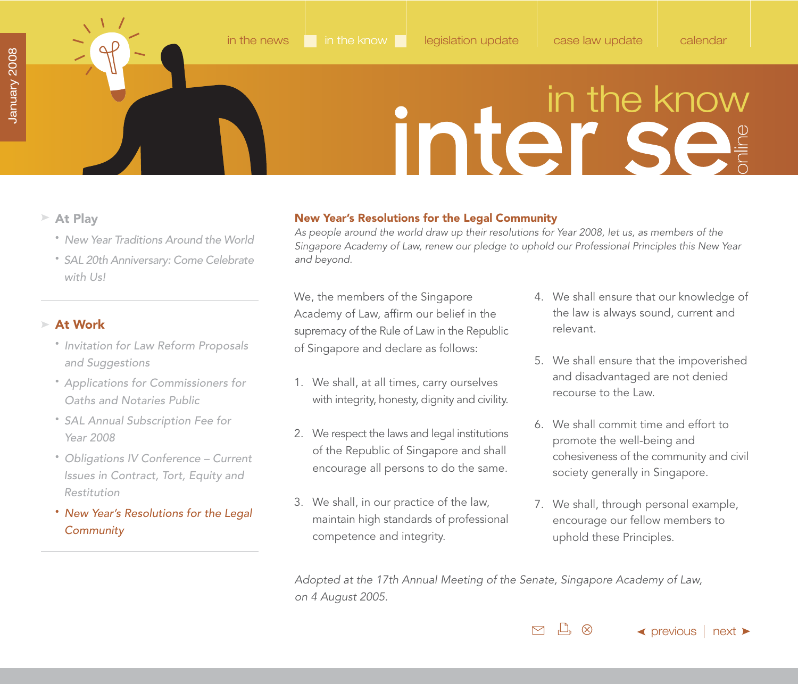<span id="page-22-0"></span>

- **At Play**
	- • [New Year Traditions Around the World](#page-13-0)
	- • [SAL 20th Anniversary: Come Celebrate](#page-16-0) with Us!

### **At Work**

- [Invitation for Law Reform Proposals](#page-17-0)  and Suggestions
- [Applications for Commissioners for](#page-18-0)  Oaths and Notaries Public
- [SAL Annual Subscription Fee for](#page-19-0) Year 2008
- [Obligations IV Conference Current](#page-20-0) Issues in Contract, Tort, Equity and Restitution
- New Year's Resolutions for the Legal **Community**

### **New Year's Resolutions for the Legal Community**

As people around the world draw up their resolutions for Year 2008, let us, as members of the Singapore Academy of Law, renew our pledge to uphold our Professional Principles this New Year and beyond.

We, the members of the Singapore Academy of Law, affirm our belief in the supremacy of the Rule of Law in the Republic of Singapore and declare as follows:

- 1. We shall, at all times, carry ourselves with integrity, honesty, dignity and civility.
- 2. We respect the laws and legal institutions of the Republic of Singapore and shall encourage all persons to do the same.
- 3. We shall, in our practice of the law, maintain high standards of professional competence and integrity.
- 4. We shall ensure that our knowledge of the law is always sound, current and relevant.
- 5. We shall ensure that the impoverished and disadvantaged are not denied recourse to the Law.
- 6. We shall commit time and effort to promote the well-being and cohesiveness of the community and civil society generally in Singapore.
- 7. We shall, through personal example, encourage our fellow members to uphold these Principles.

Adopted at the 17th Annual Meeting of the Senate, Singapore Academy of Law, on 4 August 2005.

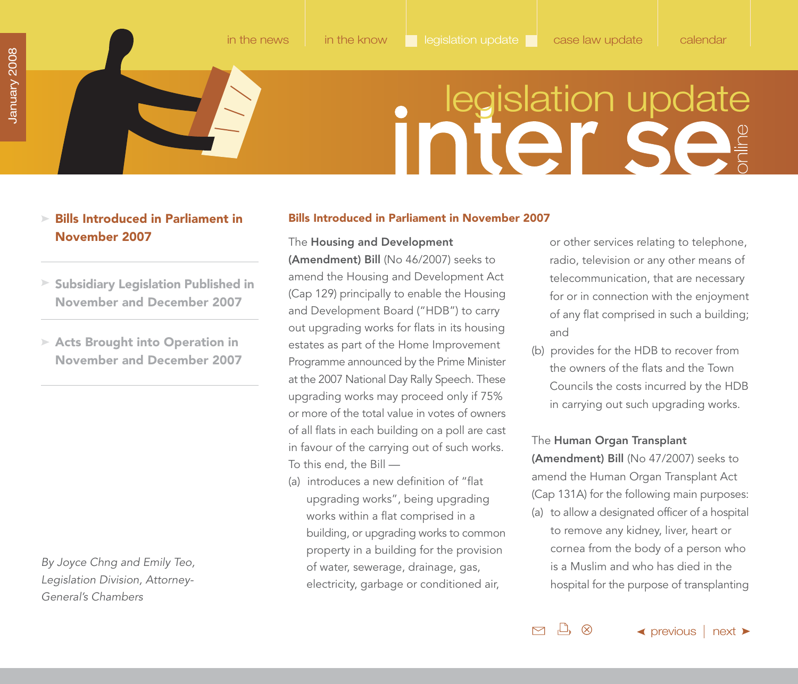## **initer in the set of the set of the set of the set of the set of the set of the set of the set of the set of the set of the set of the set of the set of the set of the set of the set of the set of the set of the set of th**

### <span id="page-23-0"></span>**Bills Introduced in Parliament in November 2007**

- **[Subsidiary Legislation Published in](#page-28-0) November and December 2007**
- **Acts Brought into Operation in [November and December 2007](#page-30-0)**

By Joyce Chng and Emily Teo, Legislation Division, Attorney-General's Chambers

### **Bills Introduced in Parliament in November 2007**

The **Housing and Development**

**(Amendment) Bill** (No 46/2007) seeks to amend the Housing and Development Act (Cap 129) principally to enable the Housing and Development Board ("HDB") to carry out upgrading works for flats in its housing estates as part of the Home Improvement Programme announced by the Prime Minister at the 2007 National Day Rally Speech. These upgrading works may proceed only if 75% or more of the total value in votes of owners of all flats in each building on a poll are cast in favour of the carrying out of such works. To this end, the Bill —

(a) introduces a new definition of "flat upgrading works", being upgrading works within a flat comprised in a building, or upgrading works to common property in a building for the provision of water, sewerage, drainage, gas, electricity, garbage or conditioned air,

or other services relating to telephone, radio, television or any other means of telecommunication, that are necessary for or in connection with the enjoyment of any flat comprised in such a building; and

(b) provides for the HDB to recover from the owners of the flats and the Town Councils the costs incurred by the HDB in carrying out such upgrading works.

### The **Human Organ Transplant**

 $\Box$   $\otimes$ 

 $\triangleright$ 

**(Amendment) Bill** (No 47/2007) seeks to amend the Human Organ Transplant Act (Cap 131A) for the following main purposes:

(a) to allow a designated officer of a hospital to remove any kidney, liver, heart or cornea from the body of a person who is a Muslim and who has died in the hospital for the purpose of transplanting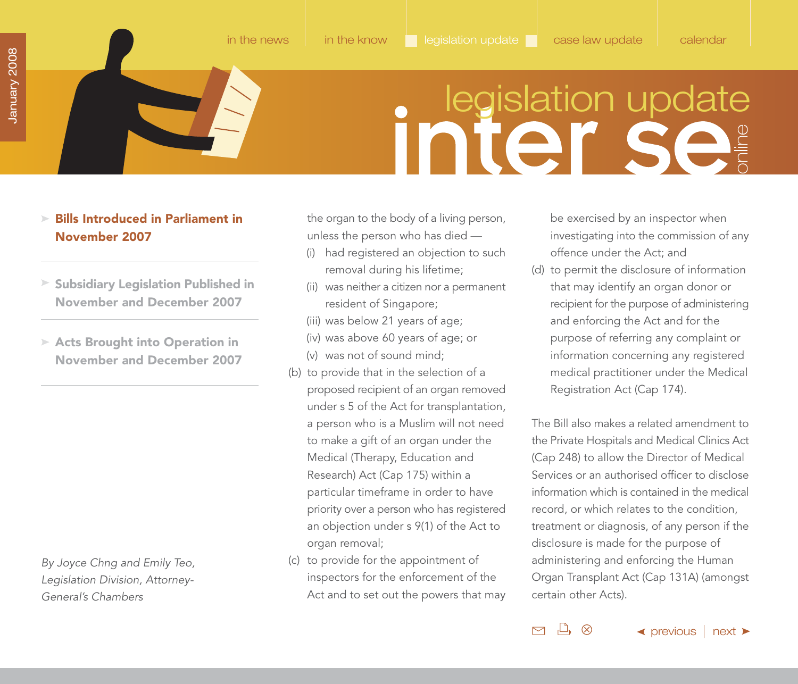### **initer sets**

### <span id="page-24-0"></span>**Bills Introduced in Parliament in November 2007**

- **[Subsidiary Legislation Published in](#page-28-0) November and December 2007**
- **Acts Brought into Operation in [November and December 2007](#page-30-0)**

By Joyce Chng and Emily Teo, Legislation Division, Attorney-General's Chambers

the organ to the body of a living person, unless the person who has died —

- (i) had registered an objection to such removal during his lifetime;
- (ii) was neither a citizen nor a permanent resident of Singapore;
- (iii) was below 21 years of age;
- (iv) was above 60 years of age; or
- (v) was not of sound mind;
- (b) to provide that in the selection of a proposed recipient of an organ removed under s 5 of the Act for transplantation, a person who is a Muslim will not need to make a gift of an organ under the Medical (Therapy, Education and Research) Act (Cap 175) within a particular timeframe in order to have priority over a person who has registered an objection under s 9(1) of the Act to organ removal;
- (c) to provide for the appointment of inspectors for the enforcement of the Act and to set out the powers that may

be exercised by an inspector when investigating into the commission of any offence under the Act; and

(d) to permit the disclosure of information that may identify an organ donor or recipient for the purpose of administering and enforcing the Act and for the purpose of referring any complaint or information concerning any registered medical practitioner under the Medical Registration Act (Cap 174).

The Bill also makes a related amendment to the Private Hospitals and Medical Clinics Act (Cap 248) to allow the Director of Medical Services or an authorised officer to disclose information which is contained in the medical record, or which relates to the condition, treatment or diagnosis, of any person if the disclosure is made for the purpose of administering and enforcing the Human Organ Transplant Act (Cap 131A) (amongst certain other Acts).

 $\Box$   $\otimes$ 

 $\triangleright$ 

 $\blacktriangle$  [previous](#page-23-0) | [next](#page-25-0)  $\blacktriangleright$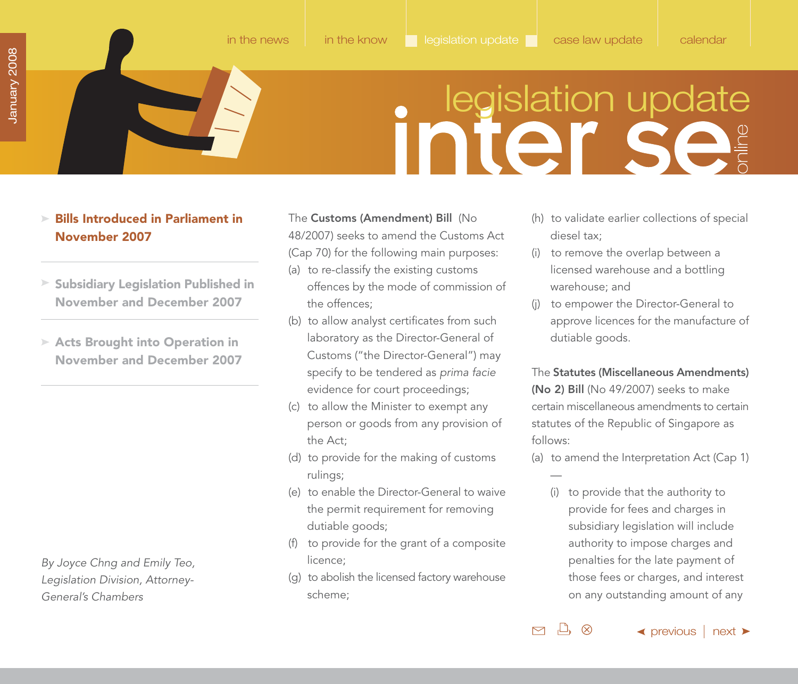- <span id="page-25-0"></span>**Bills Introduced in Parliament in November 2007**
- **[Subsidiary Legislation Published in](#page-28-0) November and December 2007**
- **Acts Brought into Operation in [November and December 2007](#page-30-0)**

By Joyce Chng and Emily Teo, Legislation Division, Attorney-General's Chambers

- The **Customs (Amendment) Bill** (No 48/2007) seeks to amend the Customs Act (Cap 70) for the following main purposes:
- (a) to re-classify the existing customs offences by the mode of commission of the offences;
- (b) to allow analyst certificates from such laboratory as the Director-General of Customs ("the Director-General") may specify to be tendered as prima facie evidence for court proceedings;
- (c) to allow the Minister to exempt any person or goods from any provision of the Act;
- (d) to provide for the making of customs rulings;
- (e) to enable the Director-General to waive the permit requirement for removing dutiable goods;
- (f) to provide for the grant of a composite licence;
- (g) to abolish the licensed factory warehouse scheme;
- (h) to validate earlier collections of special diesel tax;
- (i) to remove the overlap between a licensed warehouse and a bottling warehouse; and
- (j) to empower the Director-General to approve licences for the manufacture of dutiable goods.

The **Statutes (Miscellaneous Amendments) (No 2) Bill** (No 49/2007) seeks to make certain miscellaneous amendments to certain statutes of the Republic of Singapore as follows:

- (a) to amend the Interpretation Act (Cap 1)
	- (i) to provide that the authority to provide for fees and charges in subsidiary legislation will include authority to impose charges and penalties for the late payment of those fees or charges, and interest on any outstanding amount of any

 $\leftrightarrow$  [previous](#page-24-0) | [next](#page-26-0)  $\rightarrow$ 

 $\mathbb{L}$   $\otimes$  $\triangleright$ 

—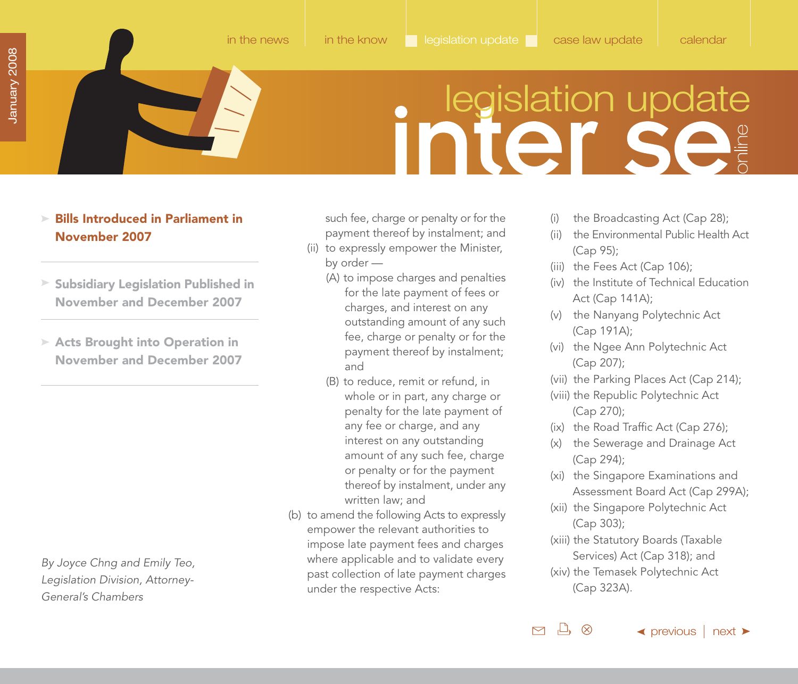### <span id="page-26-0"></span>**Bills Introduced in Parliament in November 2007**

- **[Subsidiary Legislation Published in](#page-28-0) November and December 2007**
- **Acts Brought into Operation in [November and December 2007](#page-30-0)**

By Joyce Chng and Emily Teo, Legislation Division, Attorney-General's Chambers

such fee, charge or penalty or for the payment thereof by instalment; and

- (ii) to expressly empower the Minister, by order —
	- (A) to impose charges and penalties for the late payment of fees or charges, and interest on any outstanding amount of any such fee, charge or penalty or for the payment thereof by instalment; and
	- (B) to reduce, remit or refund, in whole or in part, any charge or penalty for the late payment of any fee or charge, and any interest on any outstanding amount of any such fee, charge or penalty or for the payment thereof by instalment, under any written law; and
- (b) to amend the following Acts to expressly empower the relevant authorities to impose late payment fees and charges where applicable and to validate every past collection of late payment charges under the respective Acts:
- (i) the Broadcasting Act (Cap 28);
- (ii) the Environmental Public Health Act (Cap 95);
- (iii) the Fees Act (Cap 106);
- (iv) the Institute of Technical Education Act (Cap 141A);
- (v) the Nanyang Polytechnic Act (Cap 191A);
- (vi) the Ngee Ann Polytechnic Act (Cap 207);
- (vii) the Parking Places Act (Cap 214);
- (viii) the Republic Polytechnic Act (Cap 270);
- (ix) the Road Traffic Act (Cap 276);
- (x) the Sewerage and Drainage Act (Cap 294);
- (xi) the Singapore Examinations and Assessment Board Act (Cap 299A);
- (xii) the Singapore Polytechnic Act (Cap 303);
- (xiii) the Statutory Boards (Taxable Services) Act (Cap 318); and
- (xiv) the Temasek Polytechnic Act (Cap 323A).

 $\mathbb{L} \otimes$ 

 $\triangleright$ 

 $\blacktriangle$  [previous](#page-25-0) | [next](#page-27-0)  $\blacktriangleright$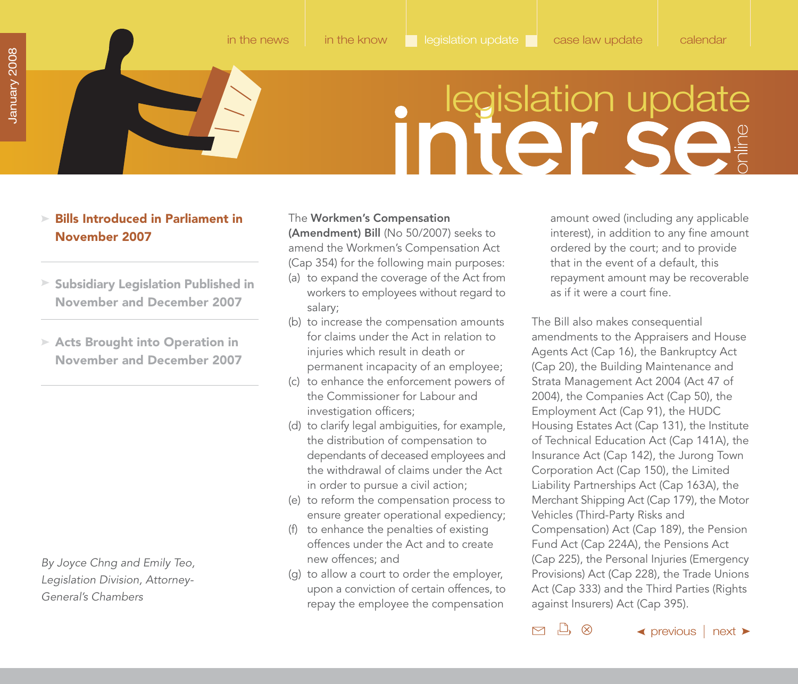- <span id="page-27-0"></span>**Bills Introduced in Parliament in November 2007**
- **[Subsidiary Legislation Published in](#page-28-0) November and December 2007**
- **Acts Brought into Operation in [November and December 2007](#page-30-0)**

By Joyce Chng and Emily Teo, Legislation Division, Attorney-General's Chambers

The **Workmen's Compensation (Amendment) Bill** (No 50/2007) seeks to amend the Workmen's Compensation Act (Cap 354) for the following main purposes:

- (a) to expand the coverage of the Act from workers to employees without regard to salary;
- (b) to increase the compensation amounts for claims under the Act in relation to injuries which result in death or permanent incapacity of an employee;
- (c) to enhance the enforcement powers of the Commissioner for Labour and investigation officers;
- (d) to clarify legal ambiguities, for example, the distribution of compensation to dependants of deceased employees and the withdrawal of claims under the Act in order to pursue a civil action;
- (e) to reform the compensation process to ensure greater operational expediency;
- (f) to enhance the penalties of existing offences under the Act and to create new offences; and
- (g) to allow a court to order the employer, upon a conviction of certain offences, to repay the employee the compensation

amount owed (including any applicable interest), in addition to any fine amount ordered by the court; and to provide that in the event of a default, this repayment amount may be recoverable as if it were a court fine.

The Bill also makes consequential amendments to the Appraisers and House Agents Act (Cap 16), the Bankruptcy Act (Cap 20), the Building Maintenance and Strata Management Act 2004 (Act 47 of 2004), the Companies Act (Cap 50), the Employment Act (Cap 91), the HUDC Housing Estates Act (Cap 131), the Institute of Technical Education Act (Cap 141A), the Insurance Act (Cap 142), the Jurong Town Corporation Act (Cap 150), the Limited Liability Partnerships Act (Cap 163A), the Merchant Shipping Act (Cap 179), the Motor Vehicles (Third-Party Risks and Compensation) Act (Cap 189), the Pension Fund Act (Cap 224A), the Pensions Act (Cap 225), the Personal Injuries (Emergency Provisions) Act (Cap 228), the Trade Unions Act (Cap 333) and the Third Parties (Rights against Insurers) Act (Cap 395).

 $\Box$   $\otimes$  $\triangleright$ 

 $\leftrightarrow$  [previous](#page-26-0)  $\mid$  [next](#page-28-0)  $\rightarrow$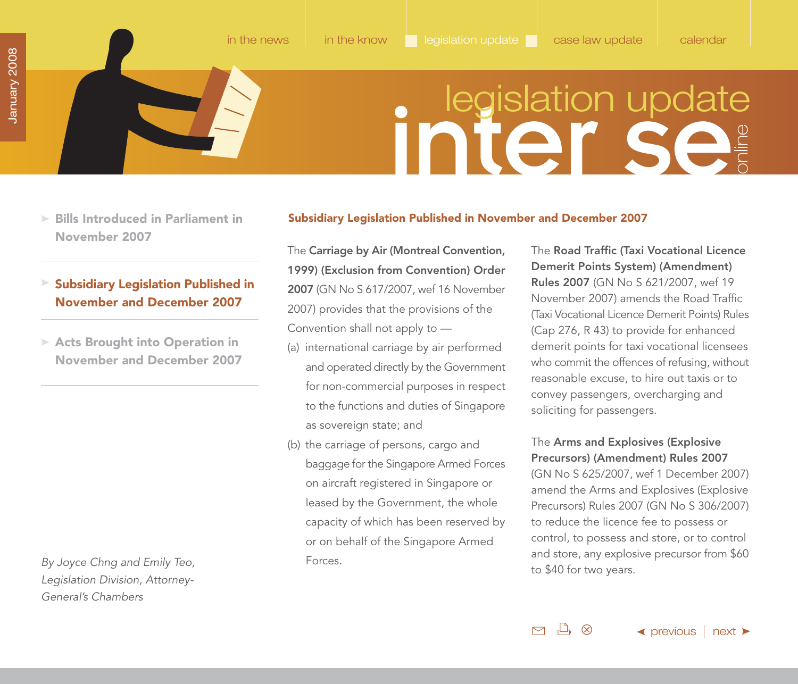- <span id="page-28-0"></span>**[Bills Introduced in Parliament in](#page-23-0) November 2007**
- **Subsidiary Legislation Published in November and December 2007**
- **Acts Brought into Operation in [November and December 2007](#page-30-0)**

By Joyce Chng and Emily Teo, Legislation Division, Attorney-General's Chambers

### **Subsidiary Legislation Published in November and December 2007**

The **Carriage by Air (Montreal Convention, 1999) (Exclusion from Convention) Order 2007** (GN No S 617/2007, wef 16 November 2007) provides that the provisions of the Convention shall not apply to —

- (a) international carriage by air performed and operated directly by the Government for non-commercial purposes in respect to the functions and duties of Singapore as sovereign state; and
- (b) the carriage of persons, cargo and baggage for the Singapore Armed Forces on aircraft registered in Singapore or leased by the Government, the whole capacity of which has been reserved by or on behalf of the Singapore Armed Forces.

The **Road Traffic (Taxi Vocational Licence Demerit Points System) (Amendment) Rules 2007** (GN No S 621/2007, wef 19 November 2007) amends the Road Traffic (Taxi Vocational Licence Demerit Points) Rules (Cap 276, R 43) to provide for enhanced demerit points for taxi vocational licensees who commit the offences of refusing, without reasonable excuse, to hire out taxis or to convey passengers, overcharging and soliciting for passengers.

### The **Arms and Explosives (Explosive Precursors) (Amendment) Rules 2007**

(GN No S 625/2007, wef 1 December 2007) amend the Arms and Explosives (Explosive Precursors) Rules 2007 (GN No S 306/2007) to reduce the licence fee to possess or control, to possess and store, or to control and store, any explosive precursor from \$60 to \$40 for two years.

 $\mathbb{L}$   $\otimes$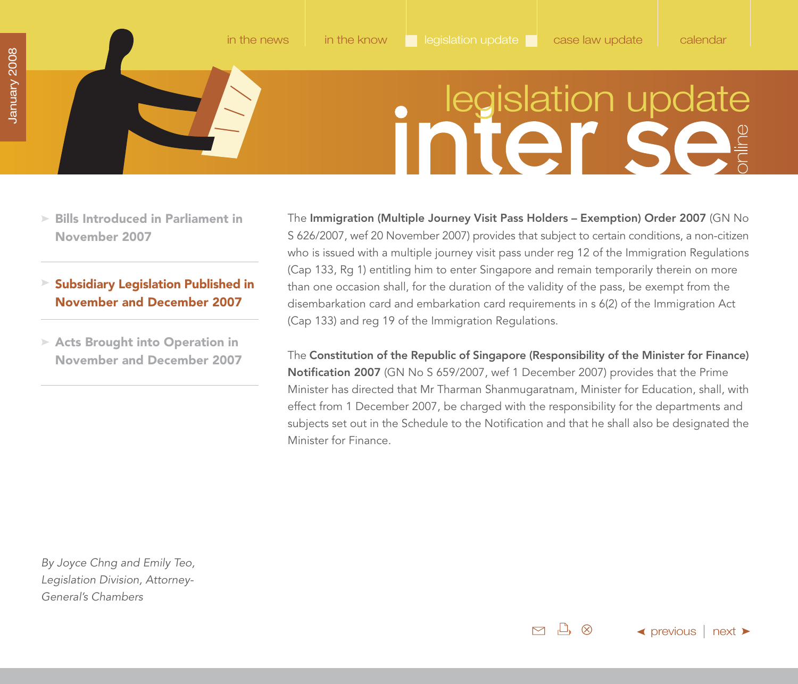- <span id="page-29-0"></span>**[Bills Introduced in Parliament in](#page-23-0) November 2007**
- **Subsidiary Legislation Published in November and December 2007**
- **Acts Brought into Operation in [November and December 2007](#page-30-0)**

The **Immigration (Multiple Journey Visit Pass Holders – Exemption) Order 2007** (GN No S 626/2007, wef 20 November 2007) provides that subject to certain conditions, a non-citizen who is issued with a multiple journey visit pass under reg 12 of the Immigration Regulations (Cap 133, Rg 1) entitling him to enter Singapore and remain temporarily therein on more than one occasion shall, for the duration of the validity of the pass, be exempt from the disembarkation card and embarkation card requirements in s 6(2) of the Immigration Act (Cap 133) and reg 19 of the Immigration Regulations.

The **Constitution of the Republic of Singapore (Responsibility of the Minister for Finance) Notification 2007** (GN No S 659/2007, wef 1 December 2007) provides that the Prime Minister has directed that Mr Tharman Shanmugaratnam, Minister for Education, shall, with effect from 1 December 2007, be charged with the responsibility for the departments and subjects set out in the Schedule to the Notification and that he shall also be designated the Minister for Finance.

By Joyce Chng and Emily Teo, Legislation Division, Attorney-General's Chambers

> $\Box$   $\otimes$  $\triangleright$

 $\blacktriangleleft$  [previous](#page-28-0)  $\mid$  [next](#page-30-0)  $\blacktriangleright$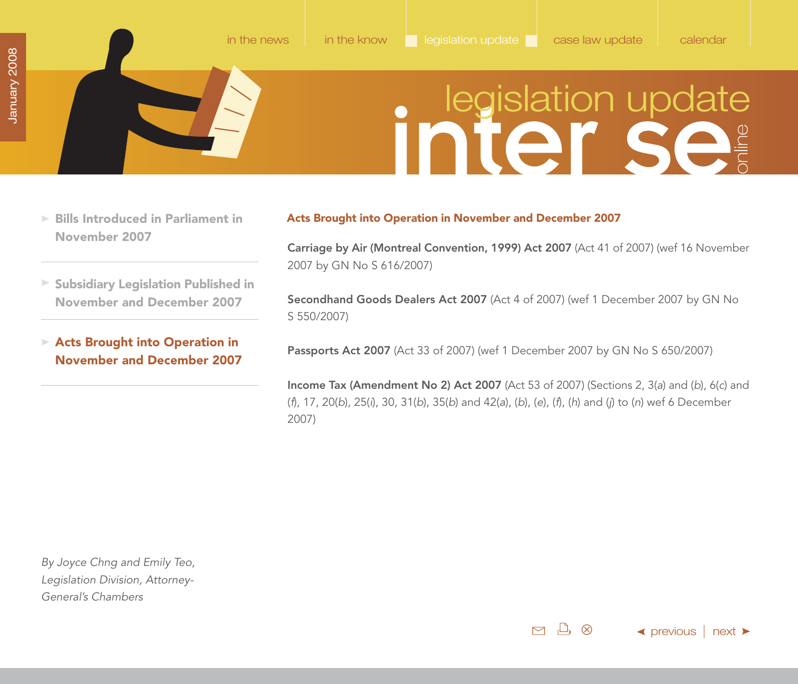- <span id="page-30-0"></span>**[Bills Introduced in Parliament in](#page-23-0) November 2007**
- **[Subsidiary Legislation Published in](#page-28-0) November and December 2007**
- **Acts Brought into Operation in November and December 2007**

### **Acts Brought into Operation in November and December 2007**

**Carriage by Air (Montreal Convention, 1999) Act 2007** (Act 41 of 2007) (wef 16 November 2007 by GN No S 616/2007)

**Secondhand Goods Dealers Act 2007** (Act 4 of 2007) (wef 1 December 2007 by GN No S 550/2007)

**Passports Act 2007** (Act 33 of 2007) (wef 1 December 2007 by GN No S 650/2007)

**Income Tax (Amendment No 2) Act 2007** (Act 53 of 2007) (Sections 2, 3(a) and (b), 6(c) and (f), 17, 20(b), 25(i), 30, 31(b), 35(b) and 42(a), (b), (e), (f), (h) and (j) to (n) wef 6 December 2007)

By Joyce Chng and Emily Teo, Legislation Division, Attorney-General's Chambers

> $\mathcal{L}^{\bullet}$   $\otimes$  $\triangleright$

 $\blacktriangleleft$  [previous](#page-29-0)  $\mid$  [next](#page-31-0)  $\blacktriangleright$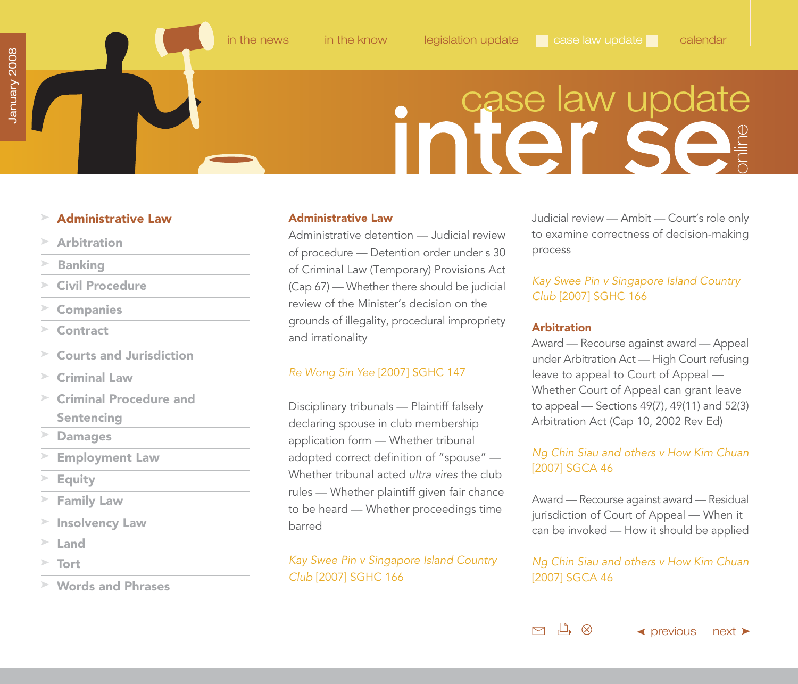### case law update

### <span id="page-31-0"></span>**Administrative Law**

- **Arbitration**
- **[Banking](#page-32-0)**
- **[Civil Procedure](#page-32-0)**
- **[Companies](#page-33-0)**
- **[Contract](#page-33-0)**
- **[Courts and Jurisdiction](#page-34-0)**
- **[Criminal Law](#page-34-0)**
- **[Criminal Procedure and](#page-34-0) Sentencing**
- **[Damages](#page-35-0)**
- **[Employment Law](#page-36-0)**
- **[Equity](#page-36-0)**
- **[Family Law](#page-37-0)**
- **[Insolvency Law](#page-37-0)**
- **[Land](#page-38-0)**
- **[Tort](#page-40-0)**
- **[Words and Phrases](#page-40-0)**

### **Administrative Law**

Administrative detention — Judicial review of procedure — Detention order under s 30 of Criminal Law (Temporary) Provisions Act (Cap 67) — Whether there should be judicial review of the Minister's decision on the grounds of illegality, procedural impropriety and irrationality

### Re Wong Sin Yee [2007] SGHC 147

Disciplinary tribunals — Plaintiff falsely declaring spouse in club membership application form — Whether tribunal adopted correct definition of "spouse" — Whether tribunal acted ultra vires the club rules — Whether plaintiff given fair chance to be heard — Whether proceedings time barred

Kay Swee Pin v Singapore Island Country Club [2007] SGHC 166

Judicial review — Ambit — Court's role only to examine correctness of decision-making process

### Kay Swee Pin v Singapore Island Country Club [2007] SGHC 166

### **Arbitration**

 $\Box$ 

 $\triangleright$ 

Award — Recourse against award — Appeal under Arbitration Act — High Court refusing leave to appeal to Court of Appeal — Whether Court of Appeal can grant leave to appeal — Sections 49(7), 49(11) and 52(3) Arbitration Act (Cap 10, 2002 Rev Ed)

### Ng Chin Siau and others v How Kim Chuan [2007] SGCA 46

Award — Recourse against award — Residual jurisdiction of Court of Appeal — When it can be invoked — How it should be applied

### Ng Chin Siau and others v How Kim Chuan [2007] SGCA 46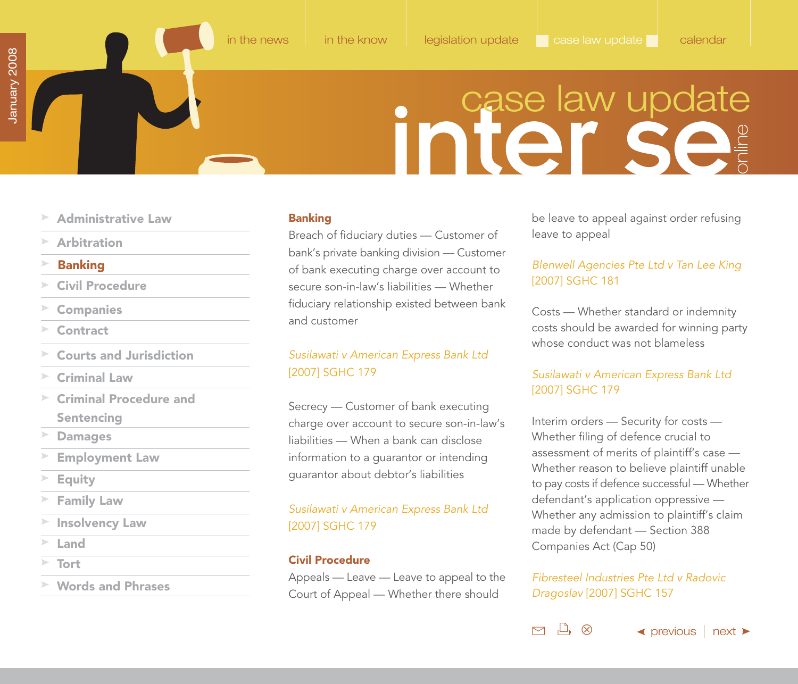# inter se<sup>s</sup>

- <span id="page-32-0"></span>**[Administrative Law](#page-31-0)**
- **[Arbitration](#page-31-0)**
- **Banking**
- **Civil Procedure**
- **[Companies](#page-33-0)**
- **[Contract](#page-33-0)**
- **[Courts and Jurisdiction](#page-34-0)**
- **[Criminal Law](#page-34-0)**
- $\geq$ **[Criminal Procedure and](#page-34-0) Sentencing**
- **[Damages](#page-35-0)**
- **[Employment Law](#page-36-0)**
- **[Equity](#page-36-0)**
- **[Family Law](#page-37-0)**
- **[Insolvency Law](#page-37-0)**
- **[Land](#page-38-0)**
- **[Tort](#page-40-0)**
- **[Words and Phrases](#page-40-0)**

### **Banking**

Breach of fiduciary duties — Customer of bank's private banking division — Customer of bank executing charge over account to secure son-in-law's liabilities — Whether fiduciary relationship existed between bank and customer

### Susilawati v American Express Bank Ltd [2007] SGHC 179

Secrecy — Customer of bank executing charge over account to secure son-in-law's liabilities — When a bank can disclose information to a guarantor or intending guarantor about debtor's liabilities

### Susilawati v American Express Bank Ltd [2007] SGHC 179

### **Civil Procedure**

Appeals — Leave — Leave to appeal to the Court of Appeal — Whether there should

be leave to appeal against order refusing leave to appeal

### Blenwell Agencies Pte Ltd v Tan Lee King [2007] SGHC 181

Costs — Whether standard or indemnity costs should be awarded for winning party whose conduct was not blameless

### Susilawati v American Express Bank Ltd [2007] SGHC 179

Interim orders — Security for costs — Whether filing of defence crucial to assessment of merits of plaintiff's case — Whether reason to believe plaintiff unable to pay costs if defence successful — Whether defendant's application oppressive — Whether any admission to plaintiff's claim made by defendant — Section 388 Companies Act (Cap 50)

Fibresteel Industries Pte Ltd v Radovic Dragoslav [2007] SGHC 157

凸 ♡

 $\triangleright$ 

 $\blacktriangle$  [previous](#page-31-0) | [next](#page-33-0)  $\blacktriangleright$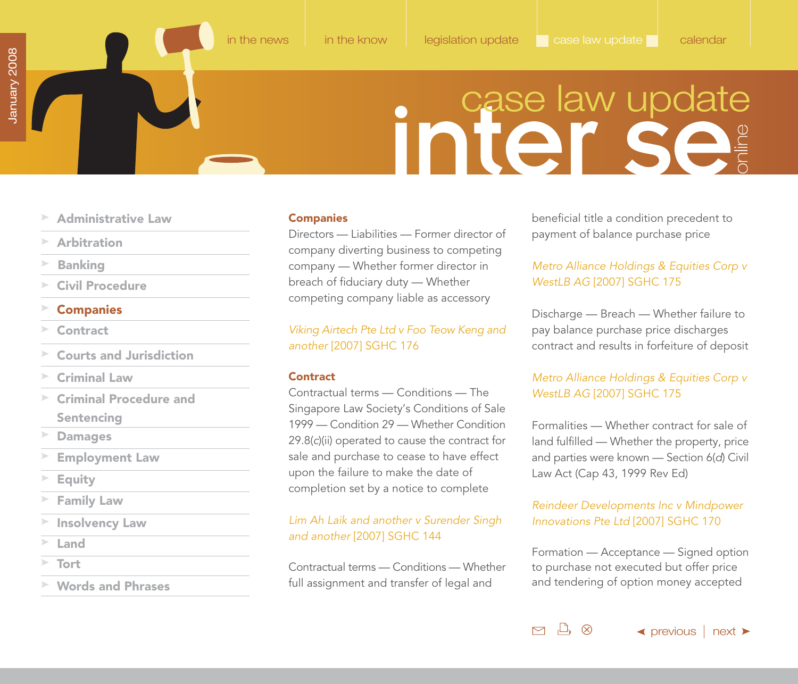# inter se

- <span id="page-33-0"></span>**[Administrative Law](#page-31-0)**
- **[Arbitration](#page-31-0)**
- **[Banking](#page-32-0)**
- **[Civil Procedure](#page-32-0)**
- **Companies**
- **Contract**
- **[Courts and Jurisdiction](#page-34-0)**
- **[Criminal Law](#page-34-0)**
- **[Criminal Procedure and](#page-34-0) Sentencing**
- **[Damages](#page-35-0)**
- **[Employment Law](#page-36-0)**
- **[Equity](#page-36-0)**
- **[Family Law](#page-37-0)**
- **[Insolvency Law](#page-37-0)**
- **[Land](#page-38-0)**
- **[Tort](#page-40-0)**
- **[Words and Phrases](#page-40-0)**

### **Companies**

Directors — Liabilities — Former director of company diverting business to competing company — Whether former director in breach of fiduciary duty — Whether competing company liable as accessory

Viking Airtech Pte Ltd v Foo Teow Keng and another [2007] SGHC 176

### **Contract**

Contractual terms — Conditions — The Singapore Law Society's Conditions of Sale 1999 — Condition 29 — Whether Condition 29.8(c)(ii) operated to cause the contract for sale and purchase to cease to have effect upon the failure to make the date of completion set by a notice to complete

Lim Ah Laik and another v Surender Singh and another [2007] SGHC 144

Contractual terms — Conditions — Whether full assignment and transfer of legal and

beneficial title a condition precedent to payment of balance purchase price

### Metro Alliance Holdings & Equities Corp v WestLB AG [2007] SGHC 175

Discharge — Breach — Whether failure to pay balance purchase price discharges contract and results in forfeiture of deposit

### Metro Alliance Holdings & Equities Corp v WestLB AG [2007] SGHC 175

Formalities — Whether contract for sale of land fulfilled — Whether the property, price and parties were known — Section 6(d) Civil Law Act (Cap 43, 1999 Rev Ed)

### Reindeer Developments Inc v Mindpower Innovations Pte Ltd [2007] SGHC 170

Formation — Acceptance — Signed option to purchase not executed but offer price and tendering of option money accepted

 $\Box$   $\otimes$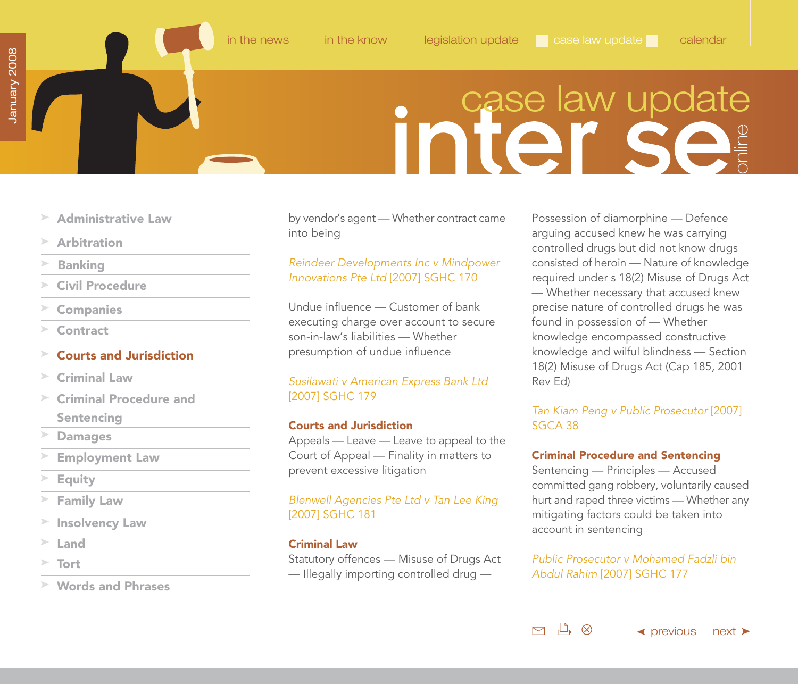### **Initer Se**

- <span id="page-34-0"></span>**[Administrative Law](#page-31-0)**
- **[Arbitration](#page-31-0)**
- **[Banking](#page-32-0)**
- **[Civil Procedure](#page-32-0)**
- **[Companies](#page-33-0)**
- **[Contract](#page-33-0)**
- **Courts and Jurisdiction**
- **Criminal Law**
- **Criminal Procedure and Sentencing**
- **[Damages](#page-35-0)**
- **[Employment Law](#page-36-0)**
- **[Equity](#page-36-0)**
- **[Family Law](#page-37-0)**
- **[Insolvency Law](#page-37-0)**
- **[Land](#page-38-0)**
- **[Tort](#page-40-0)**
- **[Words and Phrases](#page-40-0)**

by vendor's agent — Whether contract came into being

### Reindeer Developments Inc v Mindpower Innovations Pte Ltd [2007] SGHC 170

Undue influence — Customer of bank executing charge over account to secure son-in-law's liabilities — Whether presumption of undue influence

### Susilawati v American Express Bank Ltd [2007] SGHC 179

### **Courts and Jurisdiction**

Appeals — Leave — Leave to appeal to the Court of Appeal — Finality in matters to prevent excessive litigation

### Blenwell Agencies Pte Ltd v Tan Lee King [2007] SGHC 181

### **Criminal Law**

Statutory offences — Misuse of Drugs Act — Illegally importing controlled drug —

Possession of diamorphine — Defence arguing accused knew he was carrying controlled drugs but did not know drugs consisted of heroin — Nature of knowledge required under s 18(2) Misuse of Drugs Act — Whether necessary that accused knew precise nature of controlled drugs he was found in possession of — Whether knowledge encompassed constructive knowledge and wilful blindness — Section 18(2) Misuse of Drugs Act (Cap 185, 2001 Rev Ed)

### Tan Kiam Peng v Public Prosecutor [2007] SGCA 38

### **Criminal Procedure and Sentencing**

Sentencing — Principles — Accused committed gang robbery, voluntarily caused hurt and raped three victims — Whether any mitigating factors could be taken into account in sentencing

Public Prosecutor v Mohamed Fadzli bin Abdul Rahim [2007] SGHC 177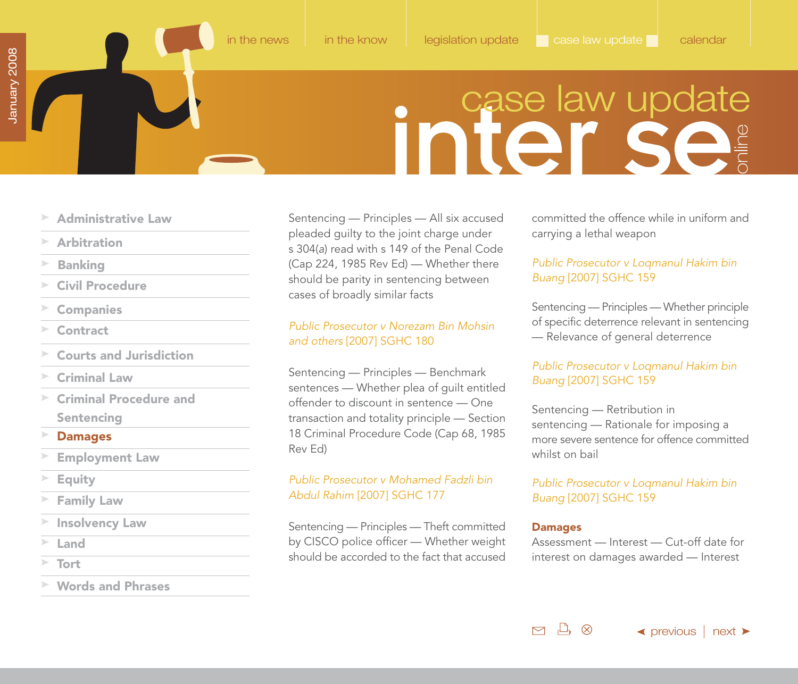### inter se

- <span id="page-35-0"></span>**[Administrative Law](#page-31-0)**
- **[Arbitration](#page-31-0)**
- **[Banking](#page-32-0)**
- **[Civil Procedure](#page-32-0)**
- **[Companies](#page-33-0)**
- **[Contract](#page-33-0)**
- **[Courts and Jurisdiction](#page-34-0)**
- **[Criminal Law](#page-34-0)**
- $\geq$ **[Criminal Procedure and](#page-34-0) Sentencing**
- **Damages**
- **[Employment Law](#page-36-0)**
- **[Equity](#page-36-0)**
- **[Family Law](#page-37-0)**
- **[Insolvency Law](#page-37-0)**
- **[Land](#page-38-0)**
- 
- **[Words and Phrases](#page-40-0)**

Sentencing — Principles — All six accused pleaded guilty to the joint charge under s 304(a) read with s 149 of the Penal Code (Cap 224, 1985 Rev Ed) — Whether there should be parity in sentencing between cases of broadly similar facts

### Public Prosecutor v Norezam Bin Mohsin and others [2007] SGHC 180

Sentencing — Principles — Benchmark sentences — Whether plea of guilt entitled offender to discount in sentence — One transaction and totality principle — Section 18 Criminal Procedure Code (Cap 68, 1985 Rev Ed)

### Public Prosecutor v Mohamed Fadzli bin Abdul Rahim [2007] SGHC 177

Sentencing — Principles — Theft committed by CISCO police officer — Whether weight should be accorded to the fact that accused interest on damages awarded — Interest on damages awarded — Interest on damages awarded — Interest

committed the offence while in uniform and carrying a lethal weapon

### Public Prosecutor v Loqmanul Hakim bin Buang [2007] SGHC 159

Sentencing — Principles — Whether principle of specific deterrence relevant in sentencing — Relevance of general deterrence

### Public Prosecutor v Loqmanul Hakim bin Buang [2007] SGHC 159

Sentencing — Retribution in sentencing — Rationale for imposing a more severe sentence for offence committed whilst on bail

### Public Prosecutor v Loqmanul Hakim bin Buang [2007] SGHC 159

### **Damages**

 $\mathcal{L}$   $\otimes$ 

 $\triangleright$ 

Assessment — Interest — Cut-off date for

 $\blacktriangle$  [previous](#page-34-0) | [next](#page-36-0)  $\blacktriangleright$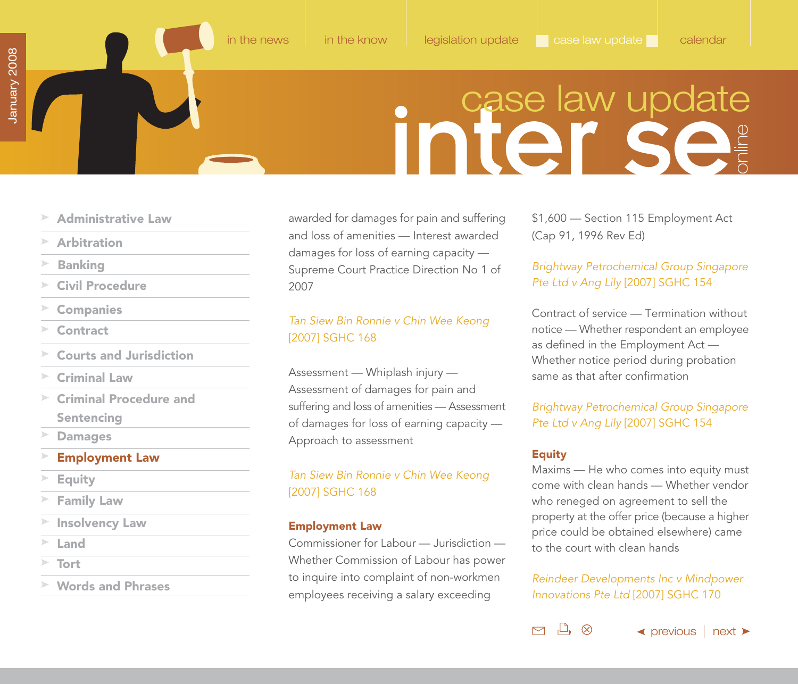### **Initer Sear**

- <span id="page-36-0"></span>**[Administrative Law](#page-31-0)**
- **[Arbitration](#page-31-0)**
- **[Banking](#page-32-0)**
- **[Civil Procedure](#page-32-0)**
- **[Companies](#page-33-0)**
- **[Contract](#page-33-0)**
- **[Courts and Jurisdiction](#page-34-0)**
- **[Criminal Law](#page-34-0)**
- **[Criminal Procedure and](#page-34-0) Sentencing**
- **[Damages](#page-35-0)**
- **Employment Law**
- **Equity**
- **[Family Law](#page-37-0)**
- **[Insolvency Law](#page-37-0)**
- **[Land](#page-38-0)**
- **[Tort](#page-40-0)**
- **[Words and Phrases](#page-40-0)**

awarded for damages for pain and suffering and loss of amenities — Interest awarded damages for loss of earning capacity — Supreme Court Practice Direction No 1 of 2007

### Tan Siew Bin Ronnie v Chin Wee Keong [2007] SGHC 168

Assessment — Whiplash injury — Assessment of damages for pain and suffering and loss of amenities — Assessment of damages for loss of earning capacity — Approach to assessment

### Tan Siew Bin Ronnie v Chin Wee Keong [2007] SGHC 168

### **Employment Law**

Commissioner for Labour — Jurisdiction — Whether Commission of Labour has power to inquire into complaint of non-workmen employees receiving a salary exceeding

\$1,600 — Section 115 Employment Act (Cap 91, 1996 Rev Ed)

### Brightway Petrochemical Group Singapore Pte Ltd v Ang Lily [2007] SGHC 154

Contract of service — Termination without notice — Whether respondent an employee as defined in the Employment Act — Whether notice period during probation same as that after confirmation

### Brightway Petrochemical Group Singapore Pte Ltd v Ang Lily [2007] SGHC 154

### **Equity**

凸 ♡

 $\triangleright$ 

Maxims — He who comes into equity must come with clean hands — Whether vendor who reneged on agreement to sell the property at the offer price (because a higher price could be obtained elsewhere) came to the court with clean hands

### Reindeer Developments Inc v Mindpower Innovations Pte Ltd [2007] SGHC 170

 $\blacktriangleleft$  [previous](#page-35-0)  $\mid$  [next](#page-37-0)  $\blacktriangleright$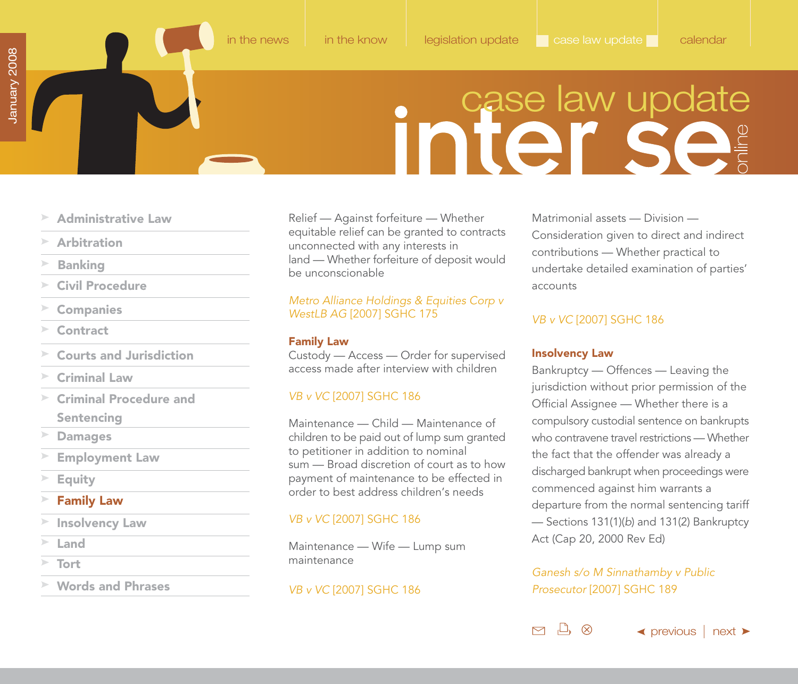### case law update

- <span id="page-37-0"></span>**[Administrative Law](#page-31-0)**
- **[Arbitration](#page-31-0)**
- **[Banking](#page-32-0)**
- **[Civil Procedure](#page-32-0)**
- **[Companies](#page-33-0)**
- **[Contract](#page-33-0)**
- **[Courts and Jurisdiction](#page-34-0)**
- **[Criminal Law](#page-34-0)**
- $\geq$ **[Criminal Procedure and](#page-34-0) Sentencing**
- **[Damages](#page-35-0)**
- **[Employment Law](#page-36-0)**
- **[Equity](#page-36-0)**
- **Family Law**
- **Insolvency Law**
- **[Land](#page-38-0)**
- **[Tort](#page-40-0)**
- **[Words and Phrases](#page-40-0)**

Relief — Against forfeiture — Whether equitable relief can be granted to contracts unconnected with any interests in land — Whether forfeiture of deposit would be unconscionable

### Metro Alliance Holdings & Equities Corp v WestLB AG [2007] SGHC 175

### **Family Law**

Custody — Access — Order for supervised access made after interview with children

### VB v VC [2007] SGHC 186

Maintenance — Child — Maintenance of children to be paid out of lump sum granted to petitioner in addition to nominal sum — Broad discretion of court as to how payment of maintenance to be effected in order to best address children's needs

### VB v VC [2007] SGHC 186

Maintenance — Wife — Lump sum maintenance

### VB v VC [2007] SGHC 186

Matrimonial assets — Division — Consideration given to direct and indirect contributions — Whether practical to undertake detailed examination of parties' accounts

### VB v VC [2007] SGHC 186

### **Insolvency Law**

 $\Box$ 

⊗

 $\triangleright$ 

Bankruptcy — Offences — Leaving the jurisdiction without prior permission of the Official Assignee — Whether there is a compulsory custodial sentence on bankrupts who contravene travel restrictions — Whether the fact that the offender was already a discharged bankrupt when proceedings were commenced against him warrants a departure from the normal sentencing tariff — Sections 131(1)(b) and 131(2) Bankruptcy Act (Cap 20, 2000 Rev Ed)

### Ganesh s/o M Sinnathamby v Public Prosecutor [2007] SGHC 189

 $\blacktriangle$  [previous](#page-36-0) | [next](#page-38-0)  $\blacktriangleright$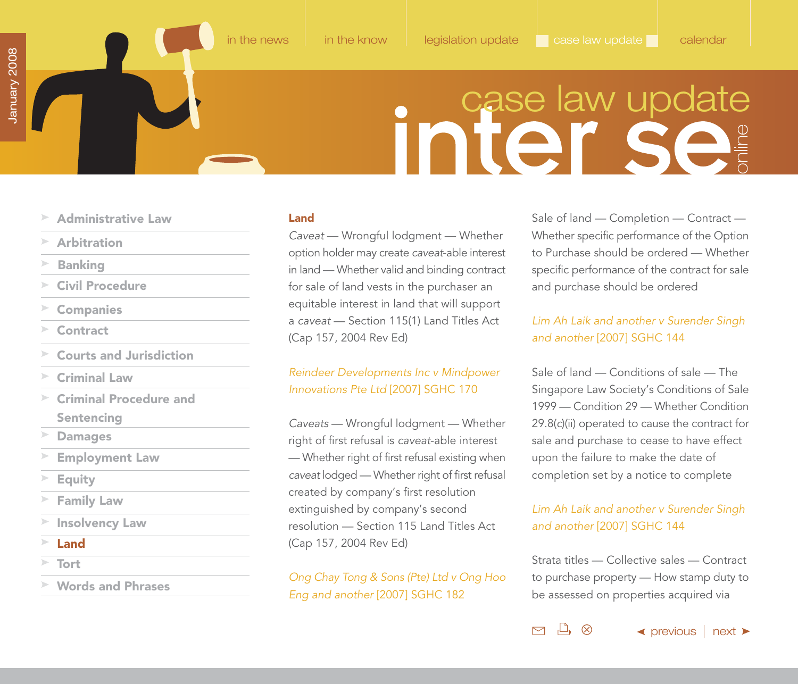### **Inited Set**

- <span id="page-38-0"></span>**[Administrative Law](#page-31-0)**
- **[Arbitration](#page-31-0)**
- **[Banking](#page-32-0)**
- **[Civil Procedure](#page-32-0)**
- **[Companies](#page-33-0)**
- **[Contract](#page-33-0)**
- **[Courts and Jurisdiction](#page-34-0)**
- **[Criminal Law](#page-34-0)**
- $\geq$ **[Criminal Procedure and](#page-34-0) Sentencing**
- **[Damages](#page-35-0)**
- **[Employment Law](#page-36-0)**
- **[Equity](#page-36-0)**
- **[Family Law](#page-37-0)**
- **[Insolvency Law](#page-37-0)**
- **Land**
- **[Tort](#page-40-0)**
- **[Words and Phrases](#page-40-0)**

### **Land**

Caveat — Wrongful lodgment — Whether option holder may create caveat-able interest in land — Whether valid and binding contract for sale of land vests in the purchaser an equitable interest in land that will support a caveat — Section 115(1) Land Titles Act (Cap 157, 2004 Rev Ed)

### Reindeer Developments Inc v Mindpower Innovations Pte Ltd [2007] SGHC 170

Caveats — Wrongful lodgment — Whether right of first refusal is caveat-able interest — Whether right of first refusal existing when caveat lodged — Whether right of first refusal created by company's first resolution extinguished by company's second resolution — Section 115 Land Titles Act (Cap 157, 2004 Rev Ed)

Ong Chay Tong & Sons (Pte) Ltd v Ong Hoo Eng and another [2007] SGHC 182

Sale of land — Completion — Contract — Whether specific performance of the Option to Purchase should be ordered — Whether specific performance of the contract for sale and purchase should be ordered

### Lim Ah Laik and another v Surender Singh and another [2007] SGHC 144

Sale of land — Conditions of sale — The Singapore Law Society's Conditions of Sale 1999 — Condition 29 — Whether Condition 29.8(c)(ii) operated to cause the contract for sale and purchase to cease to have effect upon the failure to make the date of completion set by a notice to complete

### Lim Ah Laik and another v Surender Singh and another [2007] SGHC 144

Strata titles — Collective sales — Contract to purchase property — How stamp duty to be assessed on properties acquired via

 $\mathbb{L}$   $\otimes$ 

 $\triangleright$ 

 $\blacktriangle$  [previous](#page-37-0) | [next](#page-39-0)  $\blacktriangleright$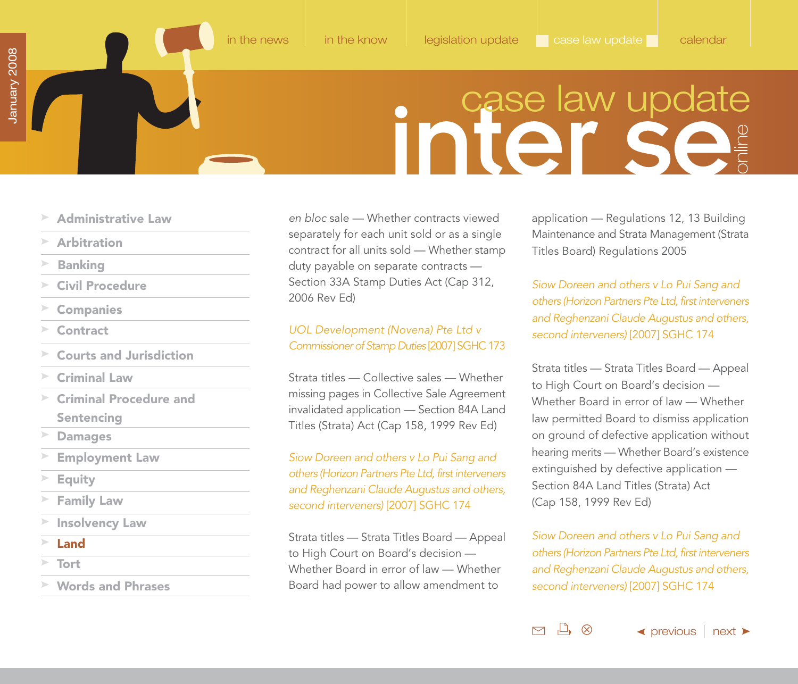### **Initer Sear**

- <span id="page-39-0"></span>**[Administrative Law](#page-31-0)**
- **[Arbitration](#page-31-0)**
- **[Banking](#page-32-0)**
- **[Civil Procedure](#page-32-0)**
- **[Companies](#page-33-0)**
- **[Contract](#page-33-0)**
- **[Courts and Jurisdiction](#page-34-0)**
- **[Criminal Law](#page-34-0)**
- $\geq$ **[Criminal Procedure and](#page-34-0) Sentencing**
- **[Damages](#page-35-0)**
- **[Employment Law](#page-36-0)**
- **[Equity](#page-36-0)**
- **[Family Law](#page-37-0)**
- **[Insolvency Law](#page-37-0)**
- **Land**
- **[Tort](#page-40-0)**
- **[Words and Phrases](#page-40-0)**

en bloc sale — Whether contracts viewed separately for each unit sold or as a single contract for all units sold — Whether stamp duty payable on separate contracts — Section 33A Stamp Duties Act (Cap 312, 2006 Rev Ed)

### UOL Development (Novena) Pte Ltd v Commissioner of Stamp Duties [2007] SGHC 173

Strata titles — Collective sales — Whether missing pages in Collective Sale Agreement invalidated application — Section 84A Land Titles (Strata) Act (Cap 158, 1999 Rev Ed)

Siow Doreen and others v Lo Pui Sang and others (Horizon Partners Pte Ltd, first interveners and Reghenzani Claude Augustus and others, second interveners) [2007] SGHC 174

Strata titles — Strata Titles Board — Appeal to High Court on Board's decision — Whether Board in error of law — Whether Board had power to allow amendment to

application — Regulations 12, 13 Building Maintenance and Strata Management (Strata Titles Board) Regulations 2005

Siow Doreen and others v Lo Pui Sang and others (Horizon Partners Pte Ltd, first interveners and Reghenzani Claude Augustus and others, second interveners) [2007] SGHC 174

Strata titles — Strata Titles Board — Appeal to High Court on Board's decision — Whether Board in error of law — Whether law permitted Board to dismiss application on ground of defective application without hearing merits — Whether Board's existence extinguished by defective application — Section 84A Land Titles (Strata) Act (Cap 158, 1999 Rev Ed)

Siow Doreen and others v Lo Pui Sang and others (Horizon Partners Pte Ltd, first interveners and Reghenzani Claude Augustus and others, second interveners) [2007] SGHC 174

 $\Box$ 

(X)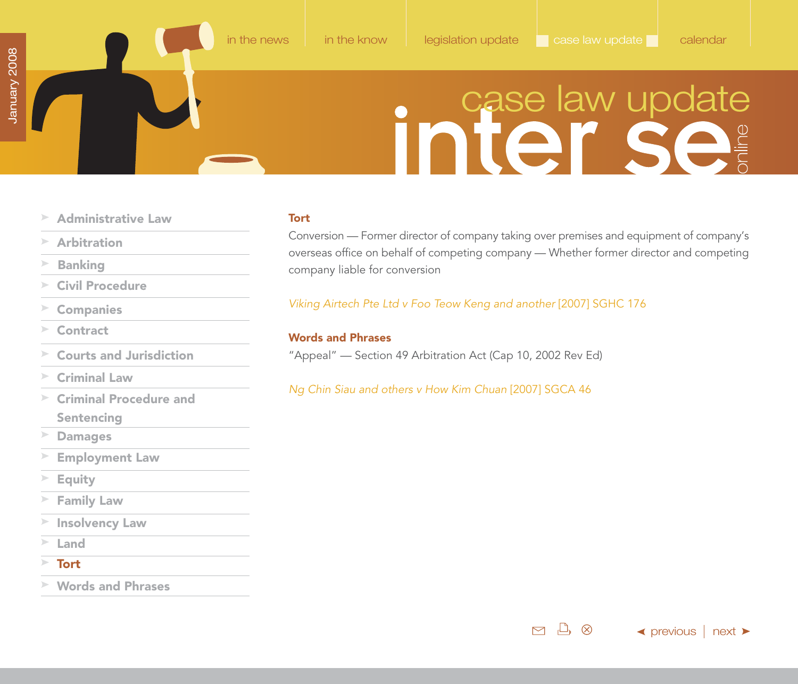# case law update

- <span id="page-40-0"></span>**[Administrative Law](#page-31-0)** ▶
- **[Arbitration](#page-31-0)**  $\geq$
- $\geq$ **[Banking](#page-32-0)**
- **[Civil Procedure](#page-32-0)**  $\gg$
- **[Companies](#page-33-0)**
- $\mathcal{L}^{\mathcal{L}}(\mathcal{C})=\mathcal{L}^{\mathcal{L}}(\mathcal{C})=\mathcal{L}^{\mathcal{L}}(\mathcal{C})=\mathcal{L}^{\mathcal{L}}(\mathcal{C})$ **[Contract](#page-33-0)**
- **[Courts and Jurisdiction](#page-34-0)** ъ
- **[Criminal Law](#page-34-0)**
- $\geq$ **[Criminal Procedure and](#page-34-0) Sentencing**
- $\geq$ **[Damages](#page-35-0)**
- **[Employment Law](#page-36-0)** ▶
- $\geq$ **[Equity](#page-36-0)**
- **[Family Law](#page-37-0)**  $\blacktriangleright$
- **[Insolvency Law](#page-37-0)**
- **[Land](#page-38-0)**
- $\geq$ **Tort**
- **Words and Phrases**

### **Tort**

Conversion — Former director of company taking over premises and equipment of company's overseas office on behalf of competing company — Whether former director and competing company liable for conversion

Viking Airtech Pte Ltd v Foo Teow Keng and another [2007] SGHC 176

[in the news](#page-1-0) [in the know](#page-13-0) [legislation update](#page-23-0) case law update [calendar](#page-41-0)

### **Words and Phrases**

"Appeal" — Section 49 Arbitration Act (Cap 10, 2002 Rev Ed)

Ng Chin Siau and others v How Kim Chuan [2007] SGCA 46



 $\blacktriangle$  [previous](#page-39-0) | [next](#page-41-0)  $\blacktriangleright$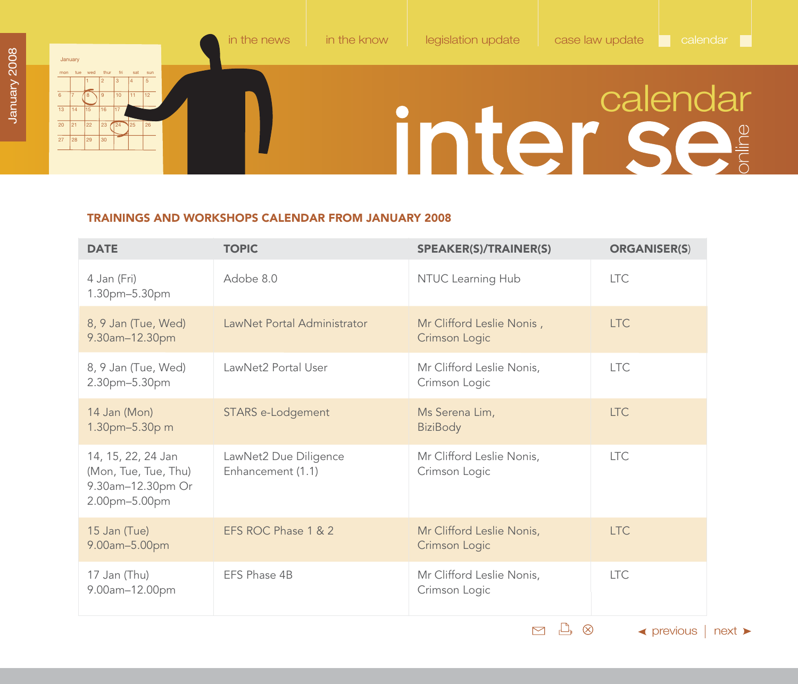### <span id="page-41-0"></span>January mon tue wed thur fri sat sun 1 2 3 4 5 6 17 /18 \19 110 111 112 13 14 15 16 17 18  $\overline{20}$ 27 21 22 23 124 25 26 28 29 30 [in the news](#page-1-0) [in the know](#page-13-0) [legislation update](#page-23-0) [case law update](#page-31-0) calendar inter Se

### **TRAININGS AND WORKSHOPS CALENDAR FROM JANUARY 2008**

| <b>DATE</b>                                                                      | <b>TOPIC</b>                               | <b>SPEAKER(S)/TRAINER(S)</b>               | <b>ORGANISER(S)</b> |
|----------------------------------------------------------------------------------|--------------------------------------------|--------------------------------------------|---------------------|
| 4 Jan (Fri)<br>1.30pm-5.30pm                                                     | Adobe 8.0                                  | NTUC Learning Hub                          | <b>LTC</b>          |
| 8, 9 Jan (Tue, Wed)<br>9.30am-12.30pm                                            | LawNet Portal Administrator                | Mr Clifford Leslie Nonis,<br>Crimson Logic | <b>LTC</b>          |
| 8, 9 Jan (Tue, Wed)<br>2.30pm-5.30pm                                             | LawNet2 Portal User                        | Mr Clifford Leslie Nonis,<br>Crimson Logic | <b>LTC</b>          |
| 14 Jan (Mon)<br>1.30pm-5.30p m                                                   | STARS e-Lodgement                          | Ms Serena Lim,<br><b>BiziBody</b>          | <b>LTC</b>          |
| 14, 15, 22, 24 Jan<br>(Mon, Tue, Tue, Thu)<br>9.30am-12.30pm Or<br>2.00pm-5.00pm | LawNet2 Due Diligence<br>Enhancement (1.1) | Mr Clifford Leslie Nonis,<br>Crimson Logic | ITC.                |
| 15 Jan (Tue)<br>9.00am-5.00pm                                                    | EFS ROC Phase 1 & 2                        | Mr Clifford Leslie Nonis,<br>Crimson Logic | <b>LTC</b>          |
| 17 Jan (Thu)<br>9.00am-12.00pm                                                   | EFS Phase 4B                               | Mr Clifford Leslie Nonis,<br>Crimson Logic | <b>LTC</b>          |

 $\Box \quad \Box \quad \otimes$ 

 $\leftrightarrow$  [previous](#page-40-0)  $\mid$  [next](#page-42-0)  $\rightarrow$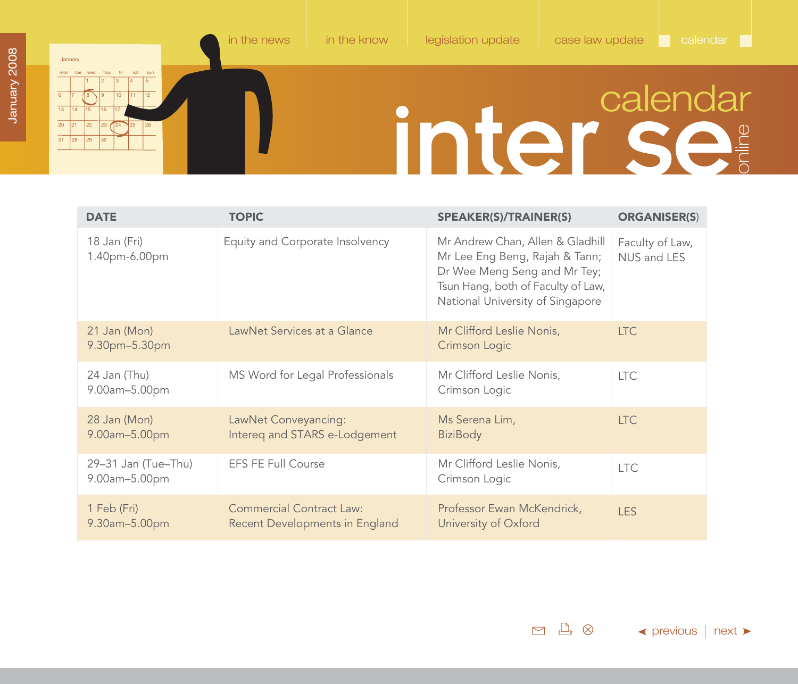# inter Se

<span id="page-42-0"></span>

| <b>DATE</b>                          | <b>TOPIC</b>                                                      | <b>SPEAKER(S)/TRAINER(S)</b>                                                                                                                                                 | <b>ORGANISER(S)</b>            |
|--------------------------------------|-------------------------------------------------------------------|------------------------------------------------------------------------------------------------------------------------------------------------------------------------------|--------------------------------|
| 18 Jan (Fri)<br>1.40pm-6.00pm        | Equity and Corporate Insolvency                                   | Mr Andrew Chan, Allen & Gladhill<br>Mr Lee Eng Beng, Rajah & Tann;<br>Dr Wee Meng Seng and Mr Tey;<br>Tsun Hang, both of Faculty of Law,<br>National University of Singapore | Faculty of Law,<br>NUS and LES |
| 21 Jan (Mon)<br>9.30pm-5.30pm        | LawNet Services at a Glance                                       | Mr Clifford Leslie Nonis,<br>Crimson Logic                                                                                                                                   | <b>LTC</b>                     |
| 24 Jan (Thu)<br>9.00am-5.00pm        | MS Word for Legal Professionals                                   | Mr Clifford Leslie Nonis,<br>Crimson Logic                                                                                                                                   | <b>LTC</b>                     |
| 28 Jan (Mon)<br>9.00am-5.00pm        | LawNet Conveyancing:<br>Intereq and STARS e-Lodgement             | Ms Serena Lim,<br><b>BiziBody</b>                                                                                                                                            | <b>LTC</b>                     |
| 29-31 Jan (Tue-Thu)<br>9.00am-5.00pm | <b>EFS FE Full Course</b>                                         | Mr Clifford Leslie Nonis,<br>Crimson Logic                                                                                                                                   | <b>LTC</b>                     |
| 1 Feb (Fri)<br>9.30am-5.00pm         | <b>Commercial Contract Law:</b><br>Recent Developments in England | Professor Ewan McKendrick,<br>University of Oxford                                                                                                                           | <b>LES</b>                     |

 $\Box \quad \Box \quad \otimes$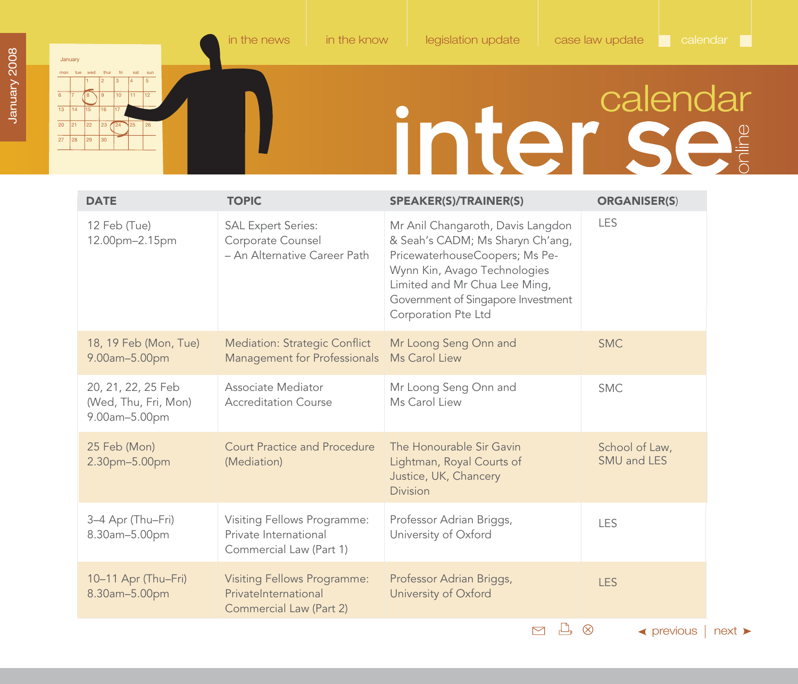<span id="page-43-0"></span> $\overline{20}$  $\overline{27}$ 

21 22 23 124 225 26

28 29 30

# inter se

| <b>DATE</b>                                                 | <b>TOPIC</b>                                                                          | <b>SPEAKER(S)/TRAINER(S)</b>                                                                                                                                                                                                          | <b>ORGANISER(S)</b>           |
|-------------------------------------------------------------|---------------------------------------------------------------------------------------|---------------------------------------------------------------------------------------------------------------------------------------------------------------------------------------------------------------------------------------|-------------------------------|
| 12 Feb (Tue)<br>12.00pm-2.15pm                              | <b>SAL Expert Series:</b><br>Corporate Counsel<br>- An Alternative Career Path        | Mr Anil Changaroth, Davis Langdon<br>& Seah's CADM; Ms Sharyn Ch'ang,<br>PricewaterhouseCoopers; Ms Pe-<br>Wynn Kin, Avago Technologies<br>Limited and Mr Chua Lee Ming,<br>Government of Singapore Investment<br>Corporation Pte Ltd | LES                           |
| 18, 19 Feb (Mon, Tue)<br>9.00am-5.00pm                      | <b>Mediation: Strategic Conflict</b><br>Management for Professionals                  | Mr Loong Seng Onn and<br>Ms Carol Liew                                                                                                                                                                                                | <b>SMC</b>                    |
| 20, 21, 22, 25 Feb<br>(Wed, Thu, Fri, Mon)<br>9.00am-5.00pm | Associate Mediator<br><b>Accreditation Course</b>                                     | Mr Loong Seng Onn and<br>Ms Carol Liew                                                                                                                                                                                                | <b>SMC</b>                    |
| 25 Feb (Mon)<br>2.30pm-5.00pm                               | <b>Court Practice and Procedure</b><br>(Mediation)                                    | The Honourable Sir Gavin<br>Lightman, Royal Courts of<br>Justice, UK, Chancery<br><b>Division</b>                                                                                                                                     | School of Law,<br>SMU and LES |
| 3-4 Apr (Thu-Fri)<br>8.30am-5.00pm                          | Visiting Fellows Programme:<br>Private International<br>Commercial Law (Part 1)       | Professor Adrian Briggs,<br>University of Oxford                                                                                                                                                                                      | <b>LES</b>                    |
| 10-11 Apr (Thu-Fri)<br>8.30am-5.00pm                        | <b>Visiting Fellows Programme:</b><br>PrivateInternational<br>Commercial Law (Part 2) | Professor Adrian Briggs,<br>University of Oxford                                                                                                                                                                                      | <b>LES</b>                    |
|                                                             |                                                                                       | M<br>┟╧╊                                                                                                                                                                                                                              | ⊗<br>$\triangleleft$ previous |